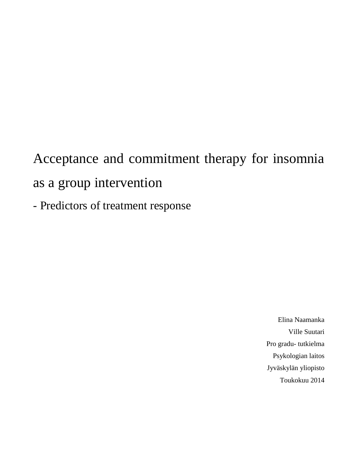Acceptance and commitment therapy for insomnia as a group intervention

- Predictors of treatment response

Elina Naamanka Ville Suutari Pro gradu- tutkielma Psykologian laitos Jyväskylän yliopisto Toukokuu 2014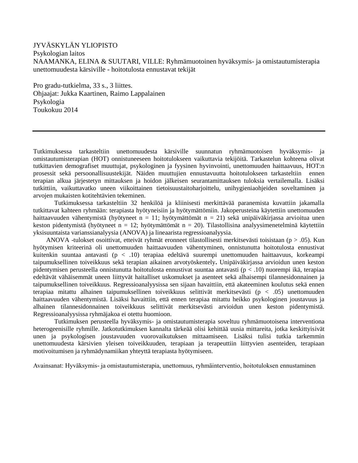JYVÄSKYLÄN YLIOPISTO Psykologian laitos NAAMANKA, ELINA & SUUTARI, VILLE: Ryhmämuotoinen hyväksymis- ja omistautumisterapia unettomuudesta kärsiville - hoitotulosta ennustavat tekijät

Pro gradu-tutkielma, 33 s., 3 liittes. Ohjaajat: Jukka Kaartinen, Raimo Lappalainen Psykologia Toukokuu 2014

Tutkimuksessa tarkasteltiin unettomuudesta kärsiville suunnatun ryhmämuotoisen hyväksymis- ja omistautumisterapian (HOT) onnistuneeseen hoitotulokseen vaikuttavia tekijöitä. Tarkastelun kohteena olivat tutkittavien demografiset muuttujat, psykologinen ja fyysinen hyvinvointi, unettomuuden haittaavuus, HOT:n prosessit sekä persoonallisuustekijät. Näiden muuttujien ennustavuutta hoitotulokseen tarkasteltiin ennen terapian alkua järjestetyn mittauksen ja hoidon jälkeisen seurantamittauksen tuloksia vertailemalla. Lisäksi tutkittiin, vaikuttavatko uneen viikoittainen tietoisuustaitoharjoittelu, unihygieniaohjeiden soveltaminen ja arvojen mukaisten kotitehtävien tekeminen.

Tutkimuksessa tarkasteltiin 32 henkilöä ja kliinisesti merkittävää paranemista kuvattiin jakamalla tutkittavat kahteen ryhmään: terapiasta hyötyneisiin ja hyötymättömiin. Jakoperusteina käytettiin unettomuuden haittaavuuden vähentymistä (hyötyneet n = 11; hyötymättömät n = 21) sekä unipäiväkirjassa arvioitua unen keston pidentymistä (hyötyneet n = 12; hyötymättömät n = 20). Tilastollisina analyysimenetelminä käytettiin yksisuuntaista varianssianalyysia (ANOVA) ja lineaarista regressioanalyysia.

 ANOVA -tulokset osoittivat, etteivät ryhmät eronneet tilastollisesti merkitsevästi toisistaan (p > .05). Kun hyötymisen kriteerinä oli unettomuuden haittaavuuden vähentyminen, onnistunutta hoitotulosta ennustivat kuitenkin suuntaa antavasti (p < .10) terapiaa edeltävä suurempi unettomuuden haittaavuus, korkeampi taipumuksellinen toiveikkuus sekä terapian aikainen arvotyöskentely**.** Unipäiväkirjassa arvioidun unen keston pidentymisen perusteella onnistunutta hoitotulosta ennustivat suuntaa antavasti (p < .10) nuorempi ikä, terapiaa edeltävät vähäisemmät uneen liittyvät haitalliset uskomukset ja asenteet sekä alhaisempi tilannesidonnainen ja taipumuksellinen toiveikkuus. Regressioanalyysissa sen sijaan havaittiin, että akateeminen koulutus sekä ennen terapiaa mitattu alhainen taipumuksellinen toiveikkuus selittivät merkitsevästi (p < .05) unettomuuden haittaavuuden vähentymistä. Lisäksi havaittiin, että ennen terapiaa mitattu heikko psykologinen joustavuus ja alhainen tilannesidonnainen toiveikkuus selittivät merkitsevästi arvioidun unen keston pidentymistä. Regressioanalyysissa ryhmäjakoa ei otettu huomioon.

Tutkimuksen perusteella hyväksymis- ja omistautumisterapia soveltuu ryhmämuotoisena interventiona heterogeenisille ryhmille. Jatkotutkimuksen kannalta tärkeää olisi kehittää uusia mittareita, jotka keskittyisivät unen ja psykologisen joustavuuden vuorovaikutuksen mittaamiseen. Lisäksi tulisi tutkia tarkemmin unettomuudesta kärsivien yleisen toiveikkuuden, terapiaan ja terapeuttiin liittyvien asenteiden, terapiaan motivoitumisen ja ryhmädynamiikan yhteyttä terapiasta hyötymiseen.

Avainsanat: Hyväksymis- ja omistautumisterapia, unettomuus, ryhmäinterventio, hoitotuloksen ennustaminen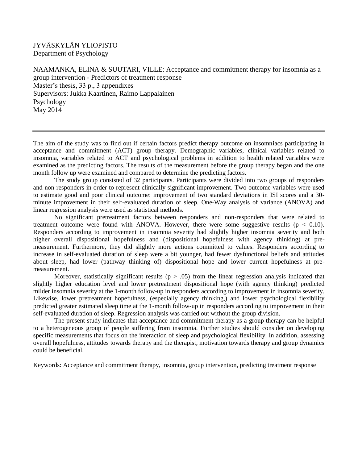#### JYVÄSKYLÄN YLIOPISTO Department of Psychology

NAAMANKA, ELINA  $&$  SUUTARI, VILLE: Acceptance and commitment therapy for insomnia as a group intervention - Predictors of treatment response Master's thesis, 33 p., 3 appendixes Supervisors: Jukka Kaartinen, Raimo Lappalainen Psychology May 2014

The aim of the study was to find out if certain factors predict therapy outcome on insomniacs participating in acceptance and commitment (ACT) group therapy. Demographic variables, clinical variables related to insomnia, variables related to ACT and psychological problems in addition to health related variables were examined as the predicting factors. The results of the measurement before the group therapy began and the one month follow up were examined and compared to determine the predicting factors.

The study group consisted of 32 participants. Participants were divided into two groups of responders and non-responders in order to represent clinically significant improvement. Two outcome variables were used to estimate good and poor clinical outcome: improvement of two standard deviations in ISI scores and a 30 minute improvement in their self-evaluated duration of sleep. One-Way analysis of variance (ANOVA) and linear regression analysis were used as statistical methods.

No significant pretreatment factors between responders and non-responders that were related to treatment outcome were found with ANOVA. However, there were some suggestive results ( $p < 0.10$ ). Responders according to improvement in insomnia severity had slightly higher insomnia severity and both higher overall dispositional hopefulness and (dispositional hopefulness with agency thinking) at premeasurement. Furthermore, they did slightly more actions committed to values. Responders according to increase in self-evaluated duration of sleep were a bit younger, had fewer dysfunctional beliefs and attitudes about sleep, had lower (pathway thinking of) dispositional hope and lower current hopefulness at premeasurement.

Moreover, statistically significant results ( $p > .05$ ) from the linear regression analysis indicated that slightly higher education level and lower pretreatment dispositional hope (with agency thinking) predicted milder insomnia severity at the 1-month follow-up in responders according to improvement in insomnia severity. Likewise, lower pretreatment hopefulness, (especially agency thinking,) and lower psychological flexibility predicted greater estimated sleep time at the 1-month follow-up in responders according to improvement in their self-evaluated duration of sleep. Regression analysis was carried out without the group division.

The present study indicates that acceptance and commitment therapy as a group therapy can be helpful to a heterogeneous group of people suffering from insomnia. Further studies should consider on developing specific measurements that focus on the interaction of sleep and psychological flexibility. In addition, assessing overall hopefulness, attitudes towards therapy and the therapist, motivation towards therapy and group dynamics could be beneficial.

Keywords: Acceptance and commitment therapy, insomnia, group intervention, predicting treatment response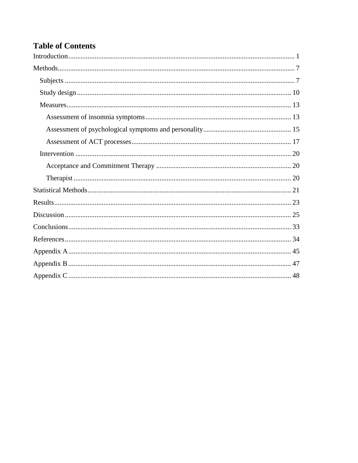# **Table of Contents**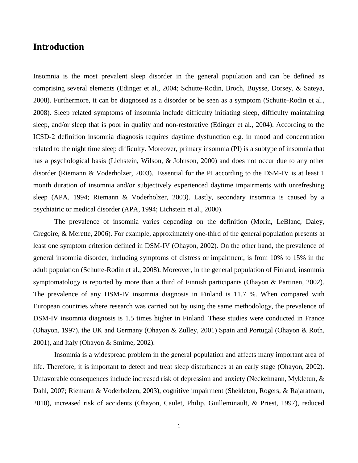## <span id="page-4-0"></span>**Introduction**

Insomnia is the most prevalent sleep disorder in the general population and can be defined as comprising several elements (Edinger et al., 2004; Schutte-Rodin, Broch, Buysse, Dorsey, & Sateya, 2008). Furthermore, it can be diagnosed as a disorder or be seen as a symptom (Schutte-Rodin et al., 2008). Sleep related symptoms of insomnia include difficulty initiating sleep, difficulty maintaining sleep, and/or sleep that is poor in quality and non-restorative (Edinger et al., 2004). According to the ICSD-2 definition insomnia diagnosis requires daytime dysfunction e.g. in mood and concentration related to the night time sleep difficulty. Moreover, primary insomnia (PI) is a subtype of insomnia that has a psychological basis (Lichstein, Wilson, & Johnson, 2000) and does not occur due to any other disorder (Riemann & Voderholzer, 2003). Essential for the PI according to the DSM-IV is at least 1 month duration of insomnia and/or subjectively experienced daytime impairments with unrefreshing sleep (APA, 1994; Riemann & Voderholzer, 2003). Lastly, secondary insomnia is caused by a psychiatric or medical disorder (APA, 1994; Lichstein et al., 2000).

The prevalence of insomnia varies depending on the definition (Morin, LeBlanc, Daley, Gregoire, & Merette, 2006). For example, approximately one-third of the general population presents at least one symptom criterion defined in DSM-IV (Ohayon, 2002). On the other hand, the prevalence of general insomnia disorder, including symptoms of distress or impairment, is from 10% to 15% in the adult population (Schutte-Rodin et al., 2008). Moreover, in the general population of Finland, insomnia symptomatology is reported by more than a third of Finnish participants (Ohayon & Partinen, 2002). The prevalence of any DSM-IV insomnia diagnosis in Finland is 11.7 %. When compared with European countries where research was carried out by using the same methodology, the prevalence of DSM-IV insomnia diagnosis is 1.5 times higher in Finland. These studies were conducted in France (Ohayon, 1997), the UK and Germany (Ohayon & Zulley, 2001) Spain and Portugal (Ohayon & Roth, 2001), and Italy (Ohayon & Smirne, 2002).

Insomnia is a widespread problem in the general population and affects many important area of life. Therefore, it is important to detect and treat sleep disturbances at an early stage (Ohayon, 2002). Unfavorable consequences include increased risk of depression and anxiety (Neckelmann, Mykletun, & Dahl, 2007; Riemann & Voderholzen, 2003), cognitive impairment (Shekleton, Rogers, & Rajaratnam, 2010), increased risk of accidents (Ohayon, Caulet, Philip, Guilleminault, & Priest, 1997), reduced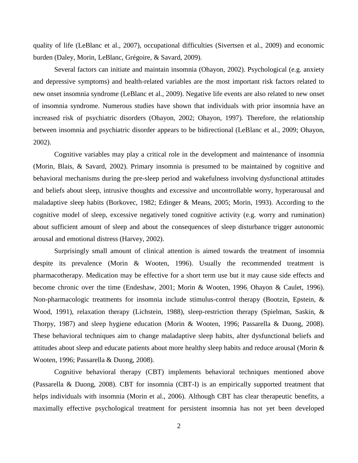quality of life (LeBlanc et al., 2007), occupational difficulties (Sivertsen et al., 2009) and economic burden (Daley, Morin, LeBlanc, Grégoire, & Savard, 2009).

Several factors can initiate and maintain insomnia (Ohayon, 2002). Psychological (e.g. anxiety and depressive symptoms) and health-related variables are the most important risk factors related to new onset insomnia syndrome (LeBlanc et al., 2009). Negative life events are also related to new onset of insomnia syndrome. Numerous studies have shown that individuals with prior insomnia have an increased risk of psychiatric disorders (Ohayon, 2002; Ohayon, 1997). Therefore, the relationship between insomnia and psychiatric disorder appears to be bidirectional (LeBlanc et al., 2009; Ohayon, 2002).

Cognitive variables may play a critical role in the development and maintenance of insomnia (Morin, Blais, & Savard, 2002). Primary insomnia is presumed to be maintained by cognitive and behavioral mechanisms during the pre-sleep period and wakefulness involving dysfunctional attitudes and beliefs about sleep, intrusive thoughts and excessive and uncontrollable worry, hyperarousal and maladaptive sleep habits (Borkovec, 1982; Edinger & Means, 2005; Morin, 1993). According to the cognitive model of sleep, excessive negatively toned cognitive activity (e.g. worry and rumination) about sufficient amount of sleep and about the consequences of sleep disturbance trigger autonomic arousal and emotional distress (Harvey, 2002).

Surprisingly small amount of clinical attention is aimed towards the treatment of insomnia despite its prevalence (Morin & Wooten, 1996). Usually the recommended treatment is pharmacotherapy. Medication may be effective for a short term use but it may cause side effects and become chronic over the time (Endeshaw, 2001; Morin & Wooten, 1996. Ohayon & Caulet, 1996). Non-pharmacologic treatments for insomnia include stimulus-control therapy (Bootzin, Epstein, & Wood, 1991), relaxation therapy (Lichstein, 1988), sleep-restriction therapy (Spielman, Saskin, & Thorpy, 1987) and sleep hygiene education (Morin & Wooten, 1996; Passarella & Duong, 2008). These behavioral techniques aim to change maladaptive sleep habits, alter dysfunctional beliefs and attitudes about sleep and educate patients about more healthy sleep habits and reduce arousal (Morin & Wooten, 1996; Passarella & Duong, 2008).

Cognitive behavioral therapy (CBT) implements behavioral techniques mentioned above (Passarella & Duong, 2008). CBT for insomnia (CBT-I) is an empirically supported treatment that helps individuals with insomnia (Morin et al., 2006). Although CBT has clear therapeutic benefits, a maximally effective psychological treatment for persistent insomnia has not yet been developed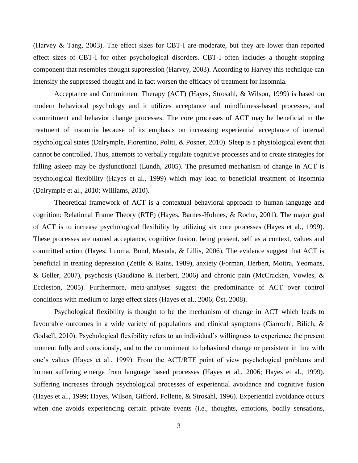(Harvey & Tang, 2003). The effect sizes for CBT-I are moderate, but they are lower than reported effect sizes of CBT-I for other psychological disorders. CBT-I often includes a thought stopping component that resembles thought suppression (Harvey, 2003). According to Harvey this technique can intensify the suppressed thought and in fact worsen the efficacy of treatment for insomnia.

Acceptance and Commitment Therapy (ACT) (Hayes, Strosahl, & Wilson, 1999) is based on modern behavioral psychology and it utilizes acceptance and mindfulness-based processes, and commitment and behavior change processes. The core processes of ACT may be beneficial in the treatment of insomnia because of its emphasis on increasing experiential acceptance of internal psychological states (Dalrymple, Fiorentino, Politi, & Posner, 2010). Sleep is a physiological event that cannot be controlled. Thus, attempts to verbally regulate cognitive processes and to create strategies for falling asleep may be dysfunctional (Lundh, 2005). The presumed mechanism of change in ACT is psychological flexibility (Hayes et al., 1999) which may lead to beneficial treatment of insomnia (Dalrymple et al., 2010; Williams, 2010).

Theoretical framework of ACT is a contextual behavioral approach to human language and cognition: Relational Frame Theory (RTF) (Hayes, Barnes-Holmes, & Roche, 2001). The major goal of ACT is to increase psychological flexibility by utilizing six core processes (Hayes et al., 1999). These processes are named acceptance, cognitive fusion, being present, self as a context, values and committed action (Hayes, Luoma, Bond, Masuda, & Lillis, 2006). The evidence suggest that ACT is beneficial in treating depression (Zettle & Rains, 1989), anxiety (Forman, Herbert, Moitra, Yeomans, & Geller, 2007), psychosis (Gaudiano & Herbert, 2006) and chronic pain (McCracken, Vowles, & Eccleston, 2005). Furthermore, meta-analyses suggest the predominance of ACT over control conditions with medium to large effect sizes (Hayes et al., 2006; Öst, 2008).

Psychological flexibility is thought to be the mechanism of change in ACT which leads to favourable outcomes in a wide variety of populations and clinical symptoms (Ciarrochi, Bilich, & Godsell, 2010). Psychological flexibility refers to an individual's willingness to experience the present moment fully and consciously, and to the commitment to behavioral change or persistent in line with one's values (Hayes et al., 1999). From the ACT/RTF point of view psychological problems and human suffering emerge from language based processes (Hayes et al., 2006; Hayes et al., 1999). Suffering increases through psychological processes of experiential avoidance and cognitive fusion (Hayes et al., 1999; Hayes, Wilson, Gifford, Follette, & Strosahl, 1996). Experiential avoidance occurs when one avoids experiencing certain private events (i.e., thoughts, emotions, bodily sensations,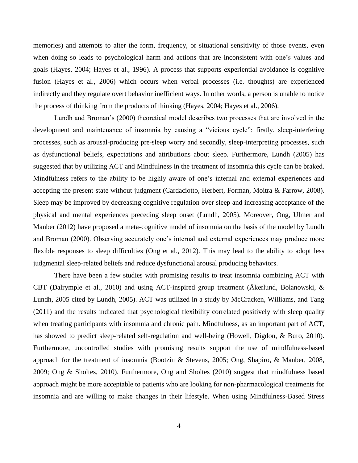memories) and attempts to alter the form, frequency, or situational sensitivity of those events, even when doing so leads to psychological harm and actions that are inconsistent with one's values and goals (Hayes, 2004; Hayes et al., 1996). A process that supports experiential avoidance is cognitive fusion (Hayes et al., 2006) which occurs when verbal processes (i.e. thoughts) are experienced indirectly and they regulate overt behavior inefficient ways. In other words, a person is unable to notice the process of thinking from the products of thinking (Hayes, 2004; Hayes et al., 2006).

Lundh and Broman's (2000) theoretical model describes two processes that are involved in the development and maintenance of insomnia by causing a "vicious cycle": firstly, sleep-interfering processes, such as arousal-producing pre-sleep worry and secondly, sleep-interpreting processes, such as dysfunctional beliefs, expectations and attributions about sleep. Furthermore, Lundh (2005) has suggested that by utilizing ACT and Mindfulness in the treatment of insomnia this cycle can be braked. Mindfulness refers to the ability to be highly aware of one's internal and external experiences and accepting the present state without judgment (Cardaciotto, Herbert, Forman, Moitra & Farrow, 2008). Sleep may be improved by decreasing cognitive regulation over sleep and increasing acceptance of the physical and mental experiences preceding sleep onset (Lundh, 2005). Moreover, Ong, Ulmer and Manber (2012) have proposed a meta-cognitive model of insomnia on the basis of the model by Lundh and Broman (2000). Observing accurately one's internal and external experiences may produce more flexible responses to sleep difficulties (Ong et al., 2012). This may lead to the ability to adopt less judgmental sleep-related beliefs and reduce dysfunctional arousal producing behaviors.

There have been a few studies with promising results to treat insomnia combining ACT with CBT (Dalrymple et al., 2010) and using ACT-inspired group treatment (Åkerlund, Bolanowski, & Lundh, 2005 cited by Lundh, 2005). ACT was utilized in a study by McCracken, Williams, and Tang (2011) and the results indicated that psychological flexibility correlated positively with sleep quality when treating participants with insomnia and chronic pain. Mindfulness, as an important part of ACT, has showed to predict sleep-related self-regulation and well-being (Howell, Digdon, & Buro, 2010). Furthermore, uncontrolled studies with promising results support the use of mindfulness-based approach for the treatment of insomnia (Bootzin & Stevens, 2005; Ong, Shapiro, & Manber, 2008, 2009; Ong & Sholtes, 2010). Furthermore, Ong and Sholtes (2010) suggest that mindfulness based approach might be more acceptable to patients who are looking for non-pharmacological treatments for insomnia and are willing to make changes in their lifestyle. When using Mindfulness-Based Stress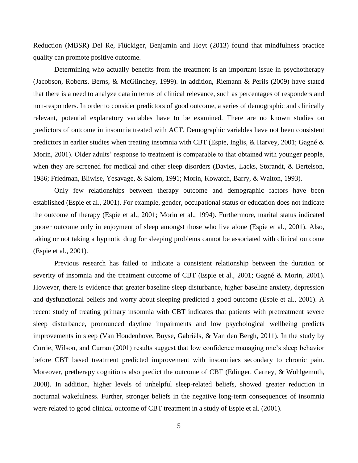Reduction (MBSR) Del Re, Flückiger, Benjamin and Hoyt (2013) found that mindfulness practice quality can promote positive outcome.

Determining who actually benefits from the treatment is an important issue in psychotherapy (Jacobson, Roberts, Berns, & McGlinchey, 1999). In addition, Riemann & Perils (2009) have stated that there is a need to analyze data in terms of clinical relevance, such as percentages of responders and non-responders. In order to consider predictors of good outcome, a series of demographic and clinically relevant, potential explanatory variables have to be examined. There are no known studies on predictors of outcome in insomnia treated with ACT. Demographic variables have not been consistent predictors in earlier studies when treating insomnia with CBT (Espie, Inglis, & Harvey, 2001; Gagné & Morin, 2001). Older adults' response to treatment is comparable to that obtained with younger people, when they are screened for medical and other sleep disorders (Davies, Lacks, Storandt, & Bertelson, 1986; Friedman, Bliwise, Yesavage, & Salom, 1991; Morin, Kowatch, Barry, & Walton, 1993).

Only few relationships between therapy outcome and demographic factors have been established (Espie et al., 2001). For example, gender, occupational status or education does not indicate the outcome of therapy (Espie et al., 2001; Morin et al., 1994). Furthermore, marital status indicated poorer outcome only in enjoyment of sleep amongst those who live alone (Espie et al., 2001). Also, taking or not taking a hypnotic drug for sleeping problems cannot be associated with clinical outcome (Espie et al., 2001).

Previous research has failed to indicate a consistent relationship between the duration or severity of insomnia and the treatment outcome of CBT (Espie et al., 2001; Gagné & Morin, 2001). However, there is evidence that greater baseline sleep disturbance, higher baseline anxiety, depression and dysfunctional beliefs and worry about sleeping predicted a good outcome (Espie et al., 2001). A recent study of treating primary insomnia with CBT indicates that patients with pretreatment severe sleep disturbance, pronounced daytime impairments and low psychological wellbeing predicts improvements in sleep (Van Houdenhove, Buyse, Gabriëls, & Van den Bergh, 2011). In the study by Currie, Wilson, and Curran (2001) results suggest that low confidence managing one's sleep behavior before CBT based treatment predicted improvement with insomniacs secondary to chronic pain. Moreover, pretherapy cognitions also predict the outcome of CBT (Edinger, Carney, & Wohlgemuth, 2008). In addition, higher levels of unhelpful sleep-related beliefs, showed greater reduction in nocturnal wakefulness. Further, stronger beliefs in the negative long-term consequences of insomnia were related to good clinical outcome of CBT treatment in a study of Espie et al. (2001).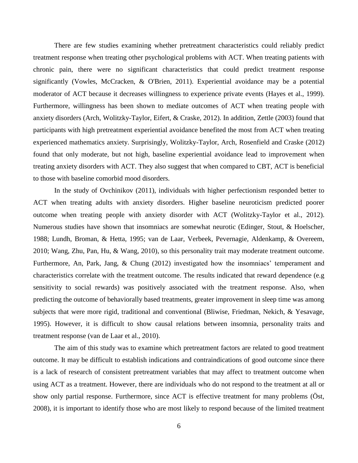There are few studies examining whether pretreatment characteristics could reliably predict treatment response when treating other psychological problems with ACT. When treating patients with chronic pain, there were no significant characteristics that could predict treatment response significantly (Vowles, McCracken, & O'Brien, 2011). Experiential avoidance may be a potential moderator of ACT because it decreases willingness to experience private events (Hayes et al., 1999). Furthermore, willingness has been shown to mediate outcomes of ACT when treating people with anxiety disorders (Arch, Wolitzky-Taylor, Eifert, & Craske, 2012). In addition, Zettle (2003) found that participants with high pretreatment experiential avoidance benefited the most from ACT when treating experienced mathematics anxiety. Surprisingly, Wolitzky-Taylor, Arch, Rosenfield and Craske (2012) found that only moderate, but not high, baseline experiential avoidance lead to improvement when treating anxiety disorders with ACT. They also suggest that when compared to CBT, ACT is beneficial to those with baseline comorbid mood disorders.

In the study of Ovchinikov (2011), individuals with higher perfectionism responded better to ACT when treating adults with anxiety disorders. Higher baseline neuroticism predicted poorer outcome when treating people with anxiety disorder with ACT (Wolitzky-Taylor et al., 2012). Numerous studies have shown that insomniacs are somewhat neurotic (Edinger, Stout, & Hoelscher, 1988; Lundh, Broman, & Hetta, 1995; van de Laar, Verbeek, Pevernagie, Aldenkamp, & Overeem, 2010; Wang, Zhu, Pan, Hu, & Wang, 2010), so this personality trait may moderate treatment outcome. Furthermore, An, Park, Jang, & Chung (2012) investigated how the insomniacs' temperament and characteristics correlate with the treatment outcome. The results indicated that reward dependence (e.g sensitivity to social rewards) was positively associated with the treatment response. Also, when predicting the outcome of behaviorally based treatments, greater improvement in sleep time was among subjects that were more rigid, traditional and conventional (Bliwise, Friedman, Nekich, & Yesavage, 1995). However, it is difficult to show causal relations between insomnia, personality traits and treatment response (van de Laar et al., 2010).

The aim of this study was to examine which pretreatment factors are related to good treatment outcome. It may be difficult to establish indications and contraindications of good outcome since there is a lack of research of consistent pretreatment variables that may affect to treatment outcome when using ACT as a treatment. However, there are individuals who do not respond to the treatment at all or show only partial response. Furthermore, since ACT is effective treatment for many problems (Öst, 2008), it is important to identify those who are most likely to respond because of the limited treatment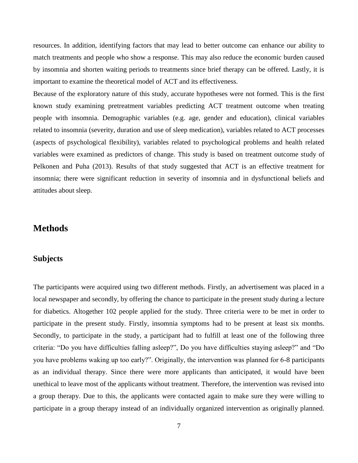resources. In addition, identifying factors that may lead to better outcome can enhance our ability to match treatments and people who show a response. This may also reduce the economic burden caused by insomnia and shorten waiting periods to treatments since brief therapy can be offered. Lastly, it is important to examine the theoretical model of ACT and its effectiveness.

Because of the exploratory nature of this study, accurate hypotheses were not formed. This is the first known study examining pretreatment variables predicting ACT treatment outcome when treating people with insomnia. Demographic variables (e.g. age, gender and education), clinical variables related to insomnia (severity, duration and use of sleep medication), variables related to ACT processes (aspects of psychological flexibility), variables related to psychological problems and health related variables were examined as predictors of change. This study is based on treatment outcome study of Pelkonen and Puha (2013). Results of that study suggested that ACT is an effective treatment for insomnia; there were significant reduction in severity of insomnia and in dysfunctional beliefs and attitudes about sleep.

## <span id="page-10-0"></span>**Methods**

#### <span id="page-10-1"></span>**Subjects**

The participants were acquired using two different methods. Firstly, an advertisement was placed in a local newspaper and secondly, by offering the chance to participate in the present study during a lecture for diabetics. Altogether 102 people applied for the study. Three criteria were to be met in order to participate in the present study. Firstly, insomnia symptoms had to be present at least six months. Secondly, to participate in the study, a participant had to fulfill at least one of the following three criteria: "Do you have difficulties falling asleep?", Do you have difficulties staying asleep?" and "Do you have problems waking up too early?". Originally, the intervention was planned for 6-8 participants as an individual therapy. Since there were more applicants than anticipated, it would have been unethical to leave most of the applicants without treatment. Therefore, the intervention was revised into a group therapy. Due to this, the applicants were contacted again to make sure they were willing to participate in a group therapy instead of an individually organized intervention as originally planned.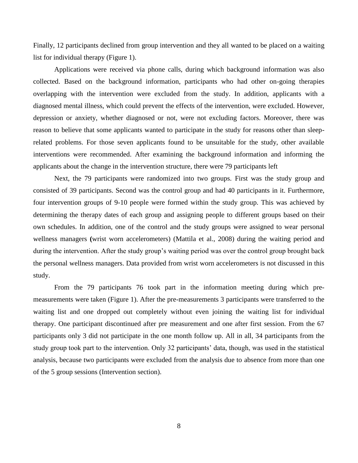Finally, 12 participants declined from group intervention and they all wanted to be placed on a waiting list for individual therapy (Figure 1).

Applications were received via phone calls, during which background information was also collected. Based on the background information, participants who had other on-going therapies overlapping with the intervention were excluded from the study. In addition, applicants with a diagnosed mental illness, which could prevent the effects of the intervention, were excluded. However, depression or anxiety, whether diagnosed or not, were not excluding factors. Moreover, there was reason to believe that some applicants wanted to participate in the study for reasons other than sleeprelated problems. For those seven applicants found to be unsuitable for the study, other available interventions were recommended. After examining the background information and informing the applicants about the change in the intervention structure, there were 79 participants left

Next, the 79 participants were randomized into two groups. First was the study group and consisted of 39 participants. Second was the control group and had 40 participants in it. Furthermore, four intervention groups of 9-10 people were formed within the study group. This was achieved by determining the therapy dates of each group and assigning people to different groups based on their own schedules. In addition, one of the control and the study groups were assigned to wear personal wellness managers **(**wrist worn accelerometers) (Mattila et al., 2008) during the waiting period and during the intervention. After the study group's waiting period was over the control group brought back the personal wellness managers. Data provided from wrist worn accelerometers is not discussed in this study.

From the 79 participants 76 took part in the information meeting during which premeasurements were taken (Figure 1). After the pre-measurements 3 participants were transferred to the waiting list and one dropped out completely without even joining the waiting list for individual therapy. One participant discontinued after pre measurement and one after first session. From the 67 participants only 3 did not participate in the one month follow up. All in all, 34 participants from the study group took part to the intervention. Only 32 participants' data, though, was used in the statistical analysis, because two participants were excluded from the analysis due to absence from more than one of the 5 group sessions (Intervention section).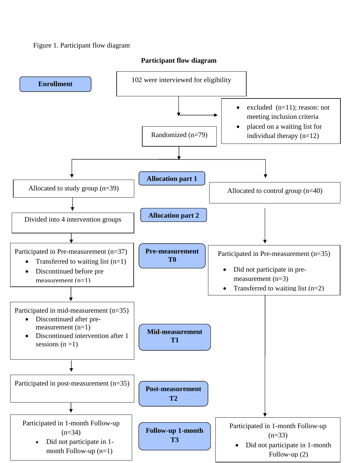### Figure 1. Participant flow diagram

#### **Participant flow diagram**

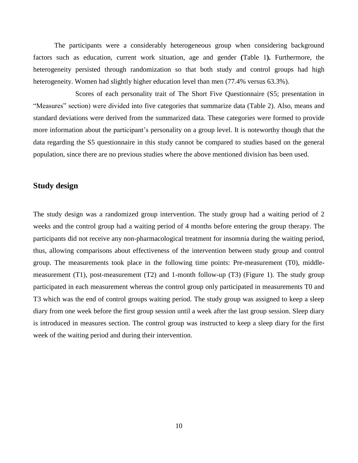The participants were a considerably heterogeneous group when considering background factors such as education, current work situation, age and gender **(**Table 1**).** Furthermore, the heterogeneity persisted through randomization so that both study and control groups had high heterogeneity. Women had slightly higher education level than men (77.4% versus 63.3%).

Scores of each personality trait of The Short Five Questionnaire (S5; presentation in "Measures" section) were divided into five categories that summarize data (Table 2). Also, means and standard deviations were derived from the summarized data. These categories were formed to provide more information about the participant's personality on a group level. It is noteworthy though that the data regarding the S5 questionnaire in this study cannot be compared to studies based on the general population, since there are no previous studies where the above mentioned division has been used.

#### <span id="page-13-0"></span>**Study design**

The study design was a randomized group intervention. The study group had a waiting period of 2 weeks and the control group had a waiting period of 4 months before entering the group therapy. The participants did not receive any non-pharmacological treatment for insomnia during the waiting period, thus, allowing comparisons about effectiveness of the intervention between study group and control group. The measurements took place in the following time points: Pre-measurement (T0), middlemeasurement (T1), post-measurement (T2) and 1-month follow-up (T3) (Figure 1). The study group participated in each measurement whereas the control group only participated in measurements T0 and T3 which was the end of control groups waiting period. The study group was assigned to keep a sleep diary from one week before the first group session until a week after the last group session. Sleep diary is introduced in measures section. The control group was instructed to keep a sleep diary for the first week of the waiting period and during their intervention.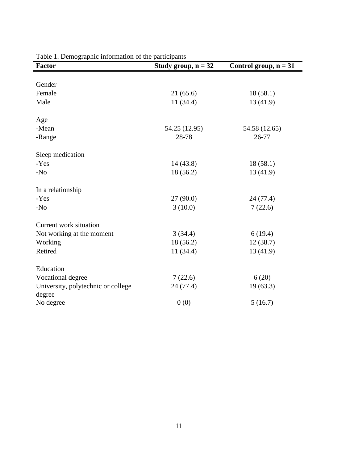| <b>Factor</b>                                | Study group, $n = 32$ | Control group, $n = 31$ |
|----------------------------------------------|-----------------------|-------------------------|
|                                              |                       |                         |
| Gender                                       |                       |                         |
| Female                                       | 21(65.6)              | 18(58.1)                |
| Male                                         | 11(34.4)              | 13(41.9)                |
| Age                                          |                       |                         |
| -Mean                                        | 54.25 (12.95)         | 54.58 (12.65)           |
| -Range                                       | 28-78                 | 26-77                   |
| Sleep medication                             |                       |                         |
| -Yes                                         | 14(43.8)              | 18(58.1)                |
| $-N0$                                        | 18(56.2)              | 13(41.9)                |
| In a relationship                            |                       |                         |
| -Yes                                         | 27(90.0)              | 24 (77.4)               |
| $-N0$                                        | 3(10.0)               | 7(22.6)                 |
| Current work situation                       |                       |                         |
| Not working at the moment                    | 3(34.4)               | 6(19.4)                 |
| Working                                      | 18(56.2)              | 12(38.7)                |
| Retired                                      | 11(34.4)              | 13(41.9)                |
| Education                                    |                       |                         |
| Vocational degree                            | 7(22.6)               | 6(20)                   |
| University, polytechnic or college<br>degree | 24 (77.4)             | 19(63.3)                |
| No degree                                    | 0(0)                  | 5(16.7)                 |

Table 1. Demographic information of the participants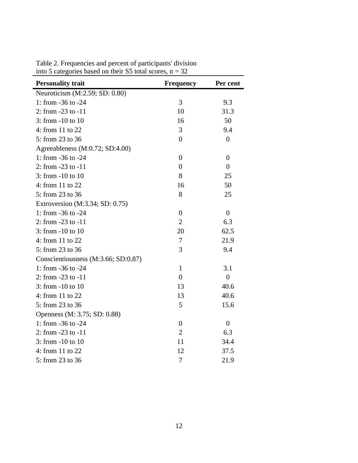| <b>Personality trait</b>            | <b>Frequency</b> | Per cent         |
|-------------------------------------|------------------|------------------|
| Neuroticism (M:2.59; SD: 0.80)      |                  |                  |
| 1: from -36 to -24                  | 3                | 9.3              |
| 2: from -23 to -11                  | 10               | 31.3             |
| 3: from -10 to 10                   | 16               | 50               |
| 4: from 11 to 22                    | 3                | 9.4              |
| 5: from 23 to 36                    | $\boldsymbol{0}$ | $\boldsymbol{0}$ |
| Agreeableness (M:0.72; SD:4.00)     |                  |                  |
| 1: from -36 to -24                  | $\overline{0}$   | $\overline{0}$   |
| 2: from -23 to -11                  | $\overline{0}$   | $\overline{0}$   |
| 3: from -10 to 10                   | 8                | 25               |
| 4: from 11 to 22                    | 16               | 50               |
| 5: from 23 to 36                    | 8                | 25               |
| Extroversion (M:3.34; SD: 0.75)     |                  |                  |
| 1: from -36 to -24                  | $\boldsymbol{0}$ | $\overline{0}$   |
| 2: from -23 to -11                  | $\overline{2}$   | 6.3              |
| $3:$ from $-10$ to $10$             | 20               | 62.5             |
| 4: from 11 to 22                    | $\tau$           | 21.9             |
| 5: from 23 to 36                    | 3                | 9.4              |
| Conscientiousness (M:3.66; SD:0.87) |                  |                  |
| 1: from -36 to -24                  | $\mathbf{1}$     | 3.1              |
| 2: from -23 to -11                  | $\boldsymbol{0}$ | $\boldsymbol{0}$ |
| 3: from -10 to 10                   | 13               | 40.6             |
| 4: from 11 to 22                    | 13               | 40.6             |
| 5: from 23 to 36                    | 5                | 15.6             |
| Openness (M: 3.75; SD: 0.88)        |                  |                  |
| 1: from -36 to -24                  | $\boldsymbol{0}$ | $\boldsymbol{0}$ |
| 2: from $-23$ to $-11$              | $\overline{2}$   | 6.3              |
| 3: from -10 to 10                   | 11               | 34.4             |
| 4: from 11 to 22                    | 12               | 37.5             |
| 5: from 23 to 36                    | $\tau$           | 21.9             |

Table 2. Frequencies and percent of participants' division into 5 categories based on their S5 total scores,  $n = 32$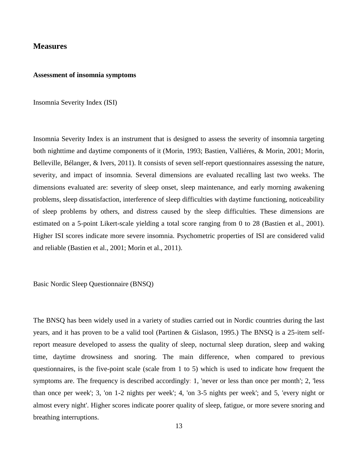#### <span id="page-16-0"></span>**Measures**

#### <span id="page-16-1"></span>**Assessment of insomnia symptoms**

Insomnia Severity Index (ISI)

Insomnia Severity Index is an instrument that is designed to assess the severity of insomnia targeting both nighttime and daytime components of it (Morin, 1993; Bastien, Valliéres, & Morin, 2001; Morin, Belleville, Bélanger, & Ivers, 2011). It consists of seven self-report questionnaires assessing the nature, severity, and impact of insomnia. Several dimensions are evaluated recalling last two weeks. The dimensions evaluated are: severity of sleep onset, sleep maintenance, and early morning awakening problems, sleep dissatisfaction, interference of sleep difficulties with daytime functioning, noticeability of sleep problems by others, and distress caused by the sleep difficulties. These dimensions are estimated on a 5-point Likert-scale yielding a total score ranging from 0 to 28 (Bastien et al., 2001). Higher ISI scores indicate more severe insomnia. Psychometric properties of ISI are considered valid and reliable (Bastien et al., 2001; Morin et al., 2011).

Basic Nordic Sleep Questionnaire (BNSQ)

The BNSQ has been widely used in a variety of studies carried out in Nordic countries during the last years, and it has proven to be a valid tool (Partinen & Gislason, 1995.) The BNSQ is a 25-item selfreport measure developed to assess the quality of sleep, nocturnal sleep duration, sleep and waking time, daytime drowsiness and snoring. The main difference, when compared to previous questionnaires, is the five-point scale (scale from 1 to 5) which is used to indicate how frequent the symptoms are. The frequency is described accordingly: 1, 'never or less than once per month'; 2, 'less than once per week'; 3, 'on 1-2 nights per week'; 4, 'on 3-5 nights per week'; and 5, 'every night or almost every night'. Higher scores indicate poorer quality of sleep, fatigue, or more severe snoring and breathing interruptions.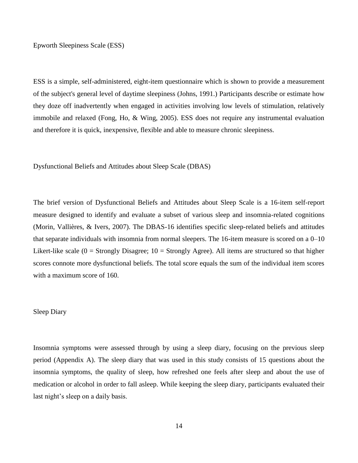Epworth Sleepiness Scale (ESS)

ESS is a simple, self-administered, eight-item questionnaire which is shown to provide a measurement of the subject's general level of daytime sleepiness (Johns, 1991.) Participants describe or estimate how they doze off inadvertently when engaged in activities involving low levels of stimulation, relatively immobile and relaxed (Fong, Ho, & Wing, 2005). ESS does not require any instrumental evaluation and therefore it is quick, inexpensive, flexible and able to measure chronic sleepiness.

Dysfunctional Beliefs and Attitudes about Sleep Scale (DBAS)

The brief version of Dysfunctional Beliefs and Attitudes about Sleep Scale is a 16-item self-report measure designed to identify and evaluate a subset of various sleep and insomnia-related cognitions (Morin, Vallières, & Ivers, 2007). The DBAS-16 identifies specific sleep-related beliefs and attitudes that separate individuals with insomnia from normal sleepers. The 16-item measure is scored on a 0–10 Likert-like scale ( $0 =$  Strongly Disagree;  $10 =$  Strongly Agree). All items are structured so that higher scores connote more dysfunctional beliefs. The total score equals the sum of the individual item scores with a maximum score of 160.

#### Sleep Diary

<span id="page-17-0"></span>Insomnia symptoms were assessed through by using a sleep diary, focusing on the previous sleep period (Appendix A). The sleep diary that was used in this study consists of 15 questions about the insomnia symptoms, the quality of sleep, how refreshed one feels after sleep and about the use of medication or alcohol in order to fall asleep. While keeping the sleep diary, participants evaluated their last night's sleep on a daily basis.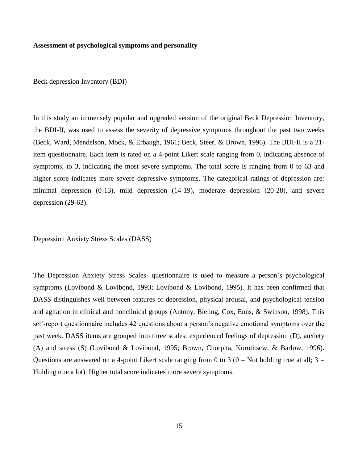#### **Assessment of psychological symptoms and personality**

Beck depression Inventory (BDI)

In this study an immensely popular and upgraded version of the original Beck Depression Inventory, the BDI-II, was used to assess the severity of depressive symptoms throughout the past two weeks (Beck, Ward, Mendelson, Mock, & Erbaugh, 1961; Beck, Steer, & Brown, 1996). The BDI-II is a 21 item questionnaire. Each item is rated on a 4-point Likert scale ranging from 0, indicating absence of symptoms, to 3, indicating the most severe symptoms. The total score is ranging from 0 to 63 and higher score indicates more severe depressive symptoms. The categorical ratings of depression are: minimal depression (0-13), mild depression (14-19), moderate depression (20-28), and severe depression (29-63).

Depression Anxiety Stress Scales (DASS)

The Depression Anxiety Stress Scales- questionnaire is used to measure a person's psychological symptoms (Lovibond & Lovibond, 1993; Lovibond & Lovibond, 1995). It has been confirmed that DASS distinguishes well between features of depression, physical arousal, and psychological tension and agitation in clinical and nonclinical groups (Antony, Bieling, Cox, Enns, & Swinson, 1998). This self-report questionnaire includes 42 questions about a person's negative emotional symptoms over the past week. DASS items are grouped into three scales: experienced feelings of depression (D), anxiety (A) and stress (S) (Lovibond & Lovibond, 1995; Brown, Chorpita, Korotitscw, & Barlow, 1996). Questions are answered on a 4-point Likert scale ranging from 0 to 3 ( $0 =$  Not holding true at all;  $3 =$ Holding true a lot). Higher total score indicates more severe symptoms.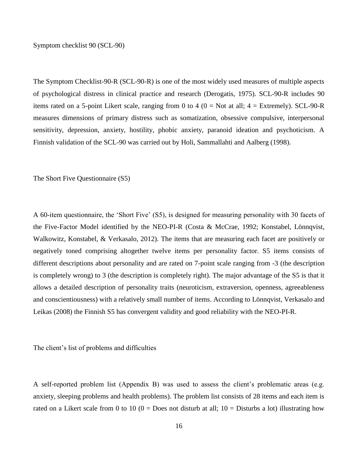Symptom checklist 90 (SCL-90)

The Symptom Checklist-90-R (SCL-90-R) is one of the most widely used measures of multiple aspects of psychological distress in clinical practice and research (Derogatis, 1975). SCL-90-R includes 90 items rated on a 5-point Likert scale, ranging from 0 to 4 ( $0 = Not$  at all;  $4 = Extremely$ ). SCL-90-R measures dimensions of primary distress such as somatization, obsessive compulsive, interpersonal sensitivity, depression, anxiety, hostility, phobic anxiety, paranoid ideation and psychoticism. A Finnish validation of the SCL-90 was carried out by Holi, Sammallahti and Aalberg (1998).

The Short Five Questionnaire (S5)

A 60-item questionnaire, the 'Short Five' (S5), is designed for measuring personality with 30 facets of the Five-Factor Model identified by the NEO-PI-R (Costa & McCrae, 1992; Konstabel, Lönnqvist, Walkowitz, Konstabel, & Verkasalo, 2012). The items that are measuring each facet are positively or negatively toned comprising altogether twelve items per personality factor. S5 items consists of different descriptions about personality and are rated on 7-point scale ranging from -3 (the description is completely wrong) to 3 (the description is completely right). The major advantage of the S5 is that it allows a detailed description of personality traits (neuroticism, extraversion, openness, agreeableness and conscientiousness) with a relatively small number of items. According to Lönnqvist, Verkasalo and Leikas (2008) the Finnish S5 has convergent validity and good reliability with the NEO-PI-R.

The client's list of problems and difficulties

A self-reported problem list (Appendix B) was used to assess the client's problematic areas (e.g. anxiety, sleeping problems and health problems). The problem list consists of 28 items and each item is rated on a Likert scale from 0 to 10 ( $0 =$  Does not disturb at all; 10 = Disturbs a lot) illustrating how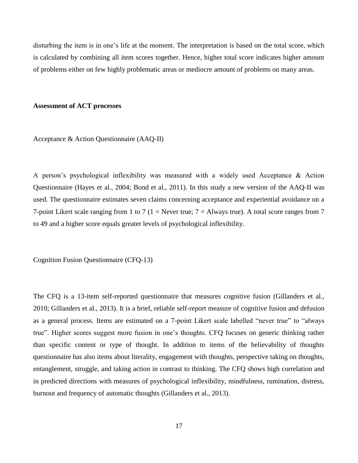disturbing the item is in one's life at the moment. The interpretation is based on the total score, which is calculated by combining all item scores together. Hence, higher total score indicates higher amount of problems either on few highly problematic areas or mediocre amount of problems on many areas.

#### <span id="page-20-0"></span>**Assessment of ACT processes**

Acceptance & Action Questionnaire (AAQ-II)

A person's psychological inflexibility was measured with a widely used Acceptance & Action Questionnaire (Hayes et al., 2004; Bond et al., 2011). In this study a new version of the AAQ-II was used. The questionnaire estimates seven claims concerning acceptance and experiential avoidance on a 7-point Likert scale ranging from 1 to 7 (1 = Never true;  $7 =$  Always true). A total score ranges from 7 to 49 and a higher score equals greater levels of psychological inflexibility.

Cognition Fusion Questionnaire (CFQ-13)

The CFQ is a 13-item self-reported questionnaire that measures cognitive fusion (Gillanders et al., 2010; Gillanders et al., 2013). It is a brief, reliable self-report measure of cognitive fusion and defusion as a general process. Items are estimated on a 7-point Likert scale labelled "never true" to "always true". Higher scores suggest more fusion in one's thoughts. CFQ focuses on generic thinking rather than specific content or type of thought. In addition to items of the believability of thoughts questionnaire has also items about literality, engagement with thoughts, perspective taking on thoughts, entanglement, struggle, and taking action in contrast to thinking. The CFQ shows high correlation and in predicted directions with measures of psychological inflexibility, mindfulness, rumination, distress, burnout and frequency of automatic thoughts (Gillanders et al., 2013).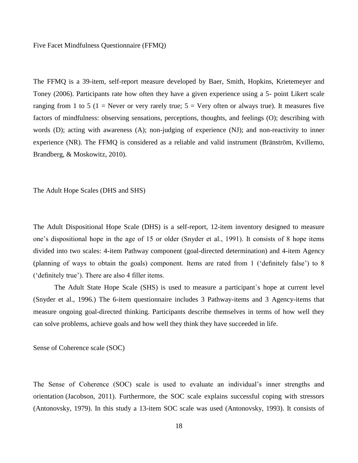#### Five Facet Mindfulness Questionnaire (FFMQ)

The FFMQ is a 39-item, self-report measure developed by Baer, Smith, Hopkins, Krietemeyer and Toney (2006). Participants rate how often they have a given experience using a 5- point Likert scale ranging from 1 to 5 (1 = Never or very rarely true;  $5 =$  Very often or always true). It measures five factors of mindfulness: observing sensations, perceptions, thoughts, and feelings (O); describing with words (D); acting with awareness (A); non-judging of experience (NJ); and non-reactivity to inner experience (NR). The FFMQ is considered as a reliable and valid instrument (Bränström, Kvillemo, Brandberg, & Moskowitz, 2010).

The Adult Hope Scales (DHS and SHS)

The Adult Dispositional Hope Scale (DHS) is a self-report, 12-item inventory designed to measure one's dispositional hope in the age of 15 or older (Snyder et al., 1991). It consists of 8 hope items divided into two scales: 4-item Pathway component (goal-directed determination) and 4-item Agency (planning of ways to obtain the goals) component. Items are rated from 1 ('definitely false') to 8 ('definitely true'). There are also 4 filler items.

The Adult State Hope Scale (SHS) is used to measure a participant`s hope at current level (Snyder et al., 1996.) The 6-item questionnaire includes 3 Pathway-items and 3 Agency-items that measure ongoing goal-directed thinking. Participants describe themselves in terms of how well they can solve problems, achieve goals and how well they think they have succeeded in life.

Sense of Coherence scale (SOC)

The Sense of Coherence (SOC) scale is used to evaluate an individual's inner strengths and orientation (Jacobson, 2011). Furthermore, the SOC scale explains successful coping with stressors (Antonovsky, 1979). In this study a 13-item SOC scale was used (Antonovsky, 1993). It consists of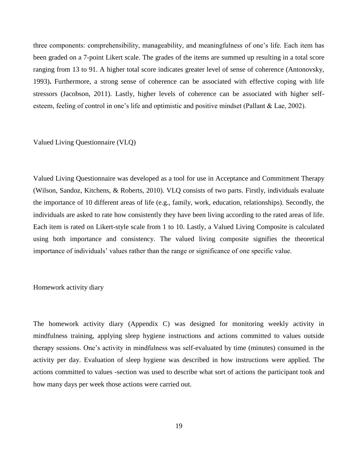three components: comprehensibility, manageability, and meaningfulness of one's life. Each item has been graded on a 7-point Likert scale. The grades of the items are summed up resulting in a total score ranging from 13 to 91. A higher total score indicates greater level of sense of coherence (Antonovsky, 1993)**.** Furthermore, a strong sense of coherence can be associated with effective coping with life stressors (Jacobson, 2011). Lastly, higher levels of coherence can be associated with higher selfesteem, feeling of control in one's life and optimistic and positive mindset (Pallant & Lae, 2002).

#### Valued Living Questionnaire (VLQ)

Valued Living Questionnaire was developed as a tool for use in Acceptance and Commitment Therapy (Wilson, Sandoz, Kitchens, & Roberts, 2010). VLQ consists of two parts. Firstly, individuals evaluate the importance of 10 different areas of life (e.g., family, work, education, relationships). Secondly, the individuals are asked to rate how consistently they have been living according to the rated areas of life. Each item is rated on Likert-style scale from 1 to 10. Lastly, a Valued Living Composite is calculated using both importance and consistency. The valued living composite signifies the theoretical importance of individuals' values rather than the range or significance of one specific value.

#### Homework activity diary

The homework activity diary (Appendix C) was designed for monitoring weekly activity in mindfulness training, applying sleep hygiene instructions and actions committed to values outside therapy sessions. One's activity in mindfulness was self-evaluated by time (minutes) consumed in the activity per day. Evaluation of sleep hygiene was described in how instructions were applied. The actions committed to values -section was used to describe what sort of actions the participant took and how many days per week those actions were carried out.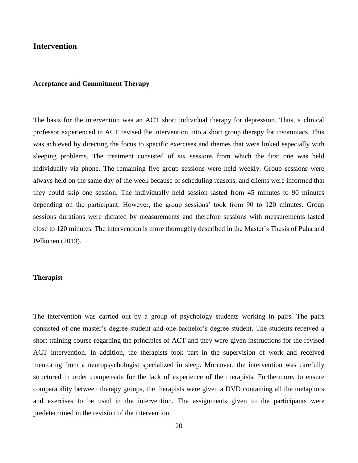#### <span id="page-23-0"></span>**Intervention**

#### <span id="page-23-1"></span>**Acceptance and Commitment Therapy**

The basis for the intervention was an ACT short individual therapy for depression. Thus, a clinical professor experienced in ACT revised the intervention into a short group therapy for insomniacs. This was achieved by directing the focus to specific exercises and themes that were linked especially with sleeping problems. The treatment consisted of six sessions from which the first one was held individually via phone. The remaining five group sessions were held weekly. Group sessions were always held on the same day of the week because of scheduling reasons, and clients were informed that they could skip one session. The individually held session lasted from 45 minutes to 90 minutes depending on the participant. However, the group sessions' took from 90 to 120 minutes. Group sessions durations were dictated by measurements and therefore sessions with measurements lasted close to 120 minutes. The intervention is more thoroughly described in the Master's Thesis of Puha and Pelkonen (2013).

#### <span id="page-23-2"></span>**Therapist**

The intervention was carried out by a group of psychology students working in pairs. The pairs consisted of one master's degree student and one bachelor's degree student. The students received a short training course regarding the principles of ACT and they were given instructions for the revised ACT intervention. In addition, the therapists took part in the supervision of work and received mentoring from a neuropsychologist specialized in sleep. Moreover, the intervention was carefully structured in order compensate for the lack of experience of the therapists. Furthermore, to ensure comparability between therapy groups, the therapists were given a DVD containing all the metaphors and exercises to be used in the intervention. The assignments given to the participants were predetermined in the revision of the intervention.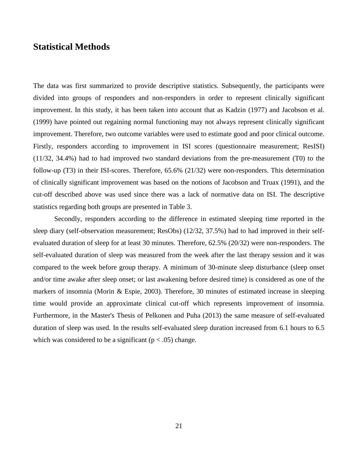## <span id="page-24-0"></span>**Statistical Methods**

The data was first summarized to provide descriptive statistics. Subsequently, the participants were divided into groups of responders and non-responders in order to represent clinically significant improvement. In this study, it has been taken into account that as Kadzin (1977) and Jacobson et al. (1999) have pointed out regaining normal functioning may not always represent clinically significant improvement. Therefore, two outcome variables were used to estimate good and poor clinical outcome. Firstly, responders according to improvement in ISI scores (questionnaire measurement; ResISI) (11/32, 34.4%) had to had improved two standard deviations from the pre-measurement (T0) to the follow-up (T3) in their ISI-scores. Therefore, 65.6% (21/32) were non-responders. This determination of clinically significant improvement was based on the notions of Jacobson and Truax (1991), and the cut-off described above was used since there was a lack of normative data on ISI. The descriptive statistics regarding both groups are presented in Table 3.

Secondly, responders according to the difference in estimated sleeping time reported in the sleep diary (self-observation measurement; ResObs) (12/32, 37.5%) had to had improved in their selfevaluated duration of sleep for at least 30 minutes. Therefore, 62.5% (20/32) were non-responders. The self-evaluated duration of sleep was measured from the week after the last therapy session and it was compared to the week before group therapy. A minimum of 30-minute sleep disturbance (sleep onset and/or time awake after sleep onset; or last awakening before desired time) is considered as one of the markers of insomnia (Morin & Espie, 2003). Therefore, 30 minutes of estimated increase in sleeping time would provide an approximate clinical cut-off which represents improvement of insomnia. Furthermore, in the Master's Thesis of Pelkonen and Puha (2013) the same measure of self-evaluated duration of sleep was used. In the results self-evaluated sleep duration increased from 6.1 hours to 6.5 which was considered to be a significant ( $p < .05$ ) change.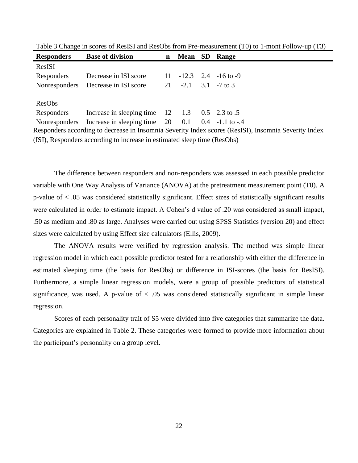| <b>Responders</b> | <b>Base of division</b>                                   | $\mathbf n$ | <b>Mean</b>             | SD | <b>Range</b>                 |
|-------------------|-----------------------------------------------------------|-------------|-------------------------|----|------------------------------|
| ResISI            |                                                           |             |                         |    |                              |
| Responders        | Decrease in ISI score                                     |             |                         |    | $11 - 12.3$ $2.4 - 16$ to -9 |
|                   | Nonresponders Decrease in ISI score                       |             | 21 $-2.1$ 3.1 $-7$ to 3 |    |                              |
|                   |                                                           |             |                         |    |                              |
| ResObs            |                                                           |             |                         |    |                              |
| Responders        | Increase in sleeping time $12 \t 1.3 \t 0.5 \t 2.3$ to .5 |             |                         |    |                              |
| Nonresponders     | Increase in sleeping time 20                              |             | 0.1                     |    | $0.4 -1.1$ to $-4$           |
|                   |                                                           |             |                         |    |                              |

Table 3 Change in scores of ResISI and ResObs from Pre-measurement (T0) to 1-mont Follow-up (T3)

Responders according to decrease in Insomnia Severity Index scores (ResISI), Insomnia Severity Index (ISI), Responders according to increase in estimated sleep time (ResObs)

The difference between responders and non-responders was assessed in each possible predictor variable with One Way Analysis of Variance (ANOVA) at the pretreatment measurement point (T0). A p-value of < .05 was considered statistically significant. Effect sizes of statistically significant results were calculated in order to estimate impact. A Cohen's d value of .20 was considered as small impact, .50 as medium and .80 as large. Analyses were carried out using SPSS Statistics (version 20) and effect sizes were calculated by using Effect size calculators (Ellis, 2009).

The ANOVA results were verified by regression analysis. The method was simple linear regression model in which each possible predictor tested for a relationship with either the difference in estimated sleeping time (the basis for ResObs) or difference in ISI-scores (the basis for ResISI). Furthermore, a simple linear regression models, were a group of possible predictors of statistical significance, was used. A p-value of  $< .05$  was considered statistically significant in simple linear regression.

<span id="page-25-0"></span>Scores of each personality trait of S5 were divided into five categories that summarize the data. Categories are explained in Table 2. These categories were formed to provide more information about the participant's personality on a group level.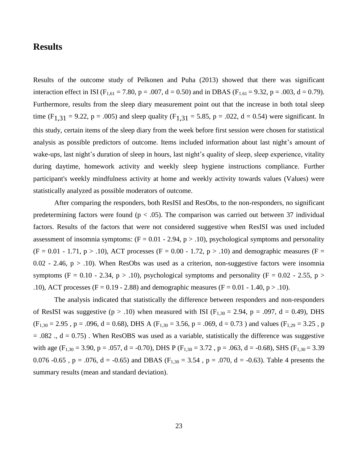## **Results**

Results of the outcome study of Pelkonen and Puha (2013) showed that there was significant interaction effect in ISI ( $F_{1,61} = 7.80$ ,  $p = .007$ ,  $d = 0.50$ ) and in DBAS ( $F_{1,61} = 9.32$ ,  $p = .003$ ,  $d = 0.79$ ). Furthermore, results from the sleep diary measurement point out that the increase in both total sleep time (F<sub>1,31</sub> = 9.22, p = .005) and sleep quality (F<sub>1,31</sub> = 5.85, p = .022, d = 0.54) were significant. In this study, certain items of the sleep diary from the week before first session were chosen for statistical analysis as possible predictors of outcome. Items included information about last night's amount of wake-ups, last night's duration of sleep in hours, last night's quality of sleep, sleep experience, vitality during daytime, homework activity and weekly sleep hygiene instructions compliance. Further participant's weekly mindfulness activity at home and weekly activity towards values (Values) were statistically analyzed as possible moderators of outcome.

After comparing the responders, both ResISI and ResObs, to the non-responders, no significant predetermining factors were found ( $p < .05$ ). The comparison was carried out between 37 individual factors. Results of the factors that were not considered suggestive when ResISI was used included assessment of insomnia symptoms:  $(F = 0.01 - 2.94, p > .10)$ , psychological symptoms and personality  $(F = 0.01 - 1.71, p > .10)$ , ACT processes  $(F = 0.00 - 1.72, p > .10)$  and demographic measures  $(F = 0.01 - 1.72, p > .10)$ 0.02 - 2.46,  $p > 0.10$ . When ResObs was used as a criterion, non-suggestive factors were insomnia symptoms (F = 0.10 - 2.34, p > .10), psychological symptoms and personality (F = 0.02 - 2.55, p > .10), ACT processes (F = 0.19 - 2.88) and demographic measures (F = 0.01 - 1.40, p > .10).

The analysis indicated that statistically the difference between responders and non-responders of ResISI was suggestive ( $p > .10$ ) when measured with ISI ( $F_{1,30} = 2.94$ ,  $p = .097$ ,  $d = 0.49$ ), DHS  $(F_{1,30} = 2.95, p = .096, d = 0.68)$ , DHS A  $(F_{1,30} = 3.56, p = .069, d = 0.73)$  and values  $(F_{1,29} = 3.25, p = .069, d = .069)$  $= .082$ ,  $d = 0.75$ ). When ResOBS was used as a variable, statistically the difference was suggestive with age (F<sub>1,30</sub> = 3.90, p = .057, d = -0.70), DHS P (F<sub>1,30</sub> = 3.72, p = .063, d = -0.68), SHS (F<sub>1,30</sub> = 3.39 0.076 -0.65, p = .076, d = -0.65) and DBAS ( $F_{1,30} = 3.54$ , p = .070, d = -0.63). Table 4 presents the summary results (mean and standard deviation).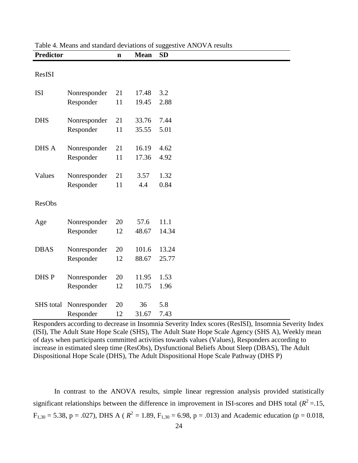| <b>Predictor</b> |              | $\mathbf n$ | <b>Mean</b> | <b>SD</b> |
|------------------|--------------|-------------|-------------|-----------|
| ResISI           |              |             |             |           |
| <b>ISI</b>       | Nonresponder | 21          | 17.48       | 3.2       |
|                  | Responder    | 11          | 19.45       | 2.88      |
| <b>DHS</b>       | Nonresponder | 21          | 33.76       | 7.44      |
|                  | Responder    | 11          | 35.55       | 5.01      |
| DHS A            | Nonresponder | 21          | 16.19       | 4.62      |
|                  | Responder    | 11          | 17.36       | 4.92      |
| Values           | Nonresponder | 21          | 3.57        | 1.32      |
|                  | Responder    | 11          | 4.4         | 0.84      |
| <b>ResObs</b>    |              |             |             |           |
| Age              | Nonresponder | 20          | 57.6        | 11.1      |
|                  | Responder    | 12          | 48.67       | 14.34     |
| <b>DBAS</b>      | Nonresponder | 20          | 101.6       | 13.24     |
|                  | Responder    | 12          | 88.67       | 25.77     |
| DHS P            | Nonresponder | 20          | 11.95       | 1.53      |
|                  | Responder    | 12          | 10.75       | 1.96      |
| <b>SHS</b> total | Nonresponder | 20          | 36          | 5.8       |
|                  | Responder    | 12          | 31.67       | 7.43      |

Table 4. Means and standard deviations of suggestive ANOVA results

Responders according to decrease in Insomnia Severity Index scores (ResISI), Insomnia Severity Index (ISI), The Adult State Hope Scale (SHS), The Adult State Hope Scale Agency (SHS A), Weekly mean of days when participants committed activities towards values (Values), Responders according to increase in estimated sleep time (ResObs), Dysfunctional Beliefs About Sleep (DBAS), The Adult Dispositional Hope Scale (DHS), The Adult Dispositional Hope Scale Pathway (DHS P)

In contrast to the ANOVA results, simple linear regression analysis provided statistically significant relationships between the difference in improvement in ISI-scores and DHS total ( $R^2 = .15$ ,  $F_{1,30} = 5.38$ , p = .027), DHS A ( $R^2 = 1.89$ ,  $F_{1,30} = 6.98$ , p = .013) and Academic education (p = 0.018,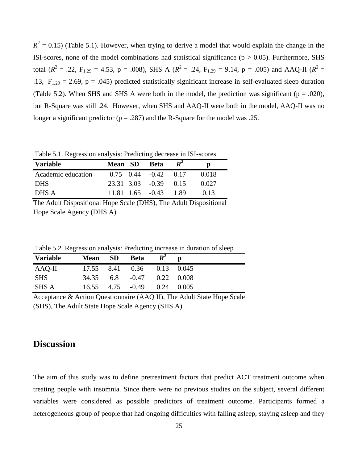$R^2 = 0.15$ ) (Table 5.1). However, when trying to derive a model that would explain the change in the ISI-scores, none of the model combinations had statistical significance ( $p > 0.05$ ). Furthermore, SHS total ( $R^2$  = .22, F<sub>1,29</sub> = 4.53, p = .008), SHS A ( $R^2$  = .24, F<sub>1,29</sub> = 9.14, p = .005) and AAQ-II ( $R^2$  = .13,  $F_{1,29} = 2.69$ , p = .045) predicted statistically significant increase in self-evaluated sleep duration (Table 5.2). When SHS and SHS A were both in the model, the prediction was significant ( $p = .020$ ), but R-Square was still .24. However, when SHS and AAQ-II were both in the model, AAQ-II was no longer a significant predictor ( $p = .287$ ) and the R-Square for the model was .25.

Table 5.1. Regression analysis: Predicting decrease in ISI-scores

| <b>Variable</b>    | <b>Mean</b> SD | <b>Beta</b>                   |       |
|--------------------|----------------|-------------------------------|-------|
| Academic education |                | $0.75$ $0.44$ $-0.42$ $0.17$  | 0.018 |
| <b>DHS</b>         |                | $23.31$ $3.03$ $-0.39$ $0.15$ | 0.027 |
| DHS A              |                | $11.81$ $1.65$ $-0.43$ $1.89$ | 0.13  |

The Adult Dispositional Hope Scale (DHS), The Adult Dispositional Hope Scale Agency (DHS A)

Table 5.2. Regression analysis: Predicting increase in duration of sleep

| Variable   | <b>Mean</b> SD Beta $R^2$ |                                 |  |
|------------|---------------------------|---------------------------------|--|
| AAQ-II     |                           | 17.55 8.41 0.36 0.13 0.045      |  |
| <b>SHS</b> |                           | 34.35 6.8 -0.47 0.22 0.008      |  |
| SHS A      |                           | $16.55$ 4.75 $-0.49$ 0.24 0.005 |  |

Acceptance & Action Questionnaire (AAQ II), The Adult State Hope Scale (SHS), The Adult State Hope Scale Agency (SHS A)

## <span id="page-28-0"></span>**Discussion**

The aim of this study was to define pretreatment factors that predict ACT treatment outcome when treating people with insomnia. Since there were no previous studies on the subject, several different variables were considered as possible predictors of treatment outcome. Participants formed a heterogeneous group of people that had ongoing difficulties with falling asleep, staying asleep and they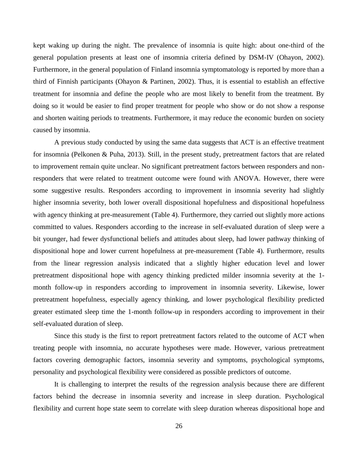kept waking up during the night. The prevalence of insomnia is quite high: about one-third of the general population presents at least one of insomnia criteria defined by DSM-IV (Ohayon, 2002). Furthermore, in the general population of Finland insomnia symptomatology is reported by more than a third of Finnish participants (Ohayon & Partinen, 2002). Thus, it is essential to establish an effective treatment for insomnia and define the people who are most likely to benefit from the treatment. By doing so it would be easier to find proper treatment for people who show or do not show a response and shorten waiting periods to treatments. Furthermore, it may reduce the economic burden on society caused by insomnia.

A previous study conducted by using the same data suggests that ACT is an effective treatment for insomnia (Pelkonen & Puha, 2013). Still, in the present study, pretreatment factors that are related to improvement remain quite unclear. No significant pretreatment factors between responders and nonresponders that were related to treatment outcome were found with ANOVA. However, there were some suggestive results. Responders according to improvement in insomnia severity had slightly higher insomnia severity, both lower overall dispositional hopefulness and dispositional hopefulness with agency thinking at pre-measurement (Table 4). Furthermore, they carried out slightly more actions committed to values. Responders according to the increase in self-evaluated duration of sleep were a bit younger, had fewer dysfunctional beliefs and attitudes about sleep, had lower pathway thinking of dispositional hope and lower current hopefulness at pre-measurement (Table 4). Furthermore, results from the linear regression analysis indicated that a slightly higher education level and lower pretreatment dispositional hope with agency thinking predicted milder insomnia severity at the 1 month follow-up in responders according to improvement in insomnia severity. Likewise, lower pretreatment hopefulness, especially agency thinking, and lower psychological flexibility predicted greater estimated sleep time the 1-month follow-up in responders according to improvement in their self-evaluated duration of sleep.

Since this study is the first to report pretreatment factors related to the outcome of ACT when treating people with insomnia, no accurate hypotheses were made. However, various pretreatment factors covering demographic factors, insomnia severity and symptoms, psychological symptoms, personality and psychological flexibility were considered as possible predictors of outcome.

It is challenging to interpret the results of the regression analysis because there are different factors behind the decrease in insomnia severity and increase in sleep duration. Psychological flexibility and current hope state seem to correlate with sleep duration whereas dispositional hope and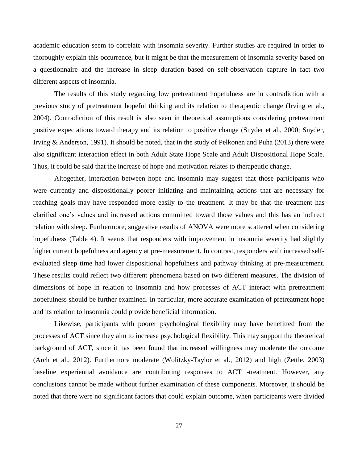academic education seem to correlate with insomnia severity. Further studies are required in order to thoroughly explain this occurrence, but it might be that the measurement of insomnia severity based on a questionnaire and the increase in sleep duration based on self-observation capture in fact two different aspects of insomnia.

The results of this study regarding low pretreatment hopefulness are in contradiction with a previous study of pretreatment hopeful thinking and its relation to therapeutic change (Irving et al., 2004). Contradiction of this result is also seen in theoretical assumptions considering pretreatment positive expectations toward therapy and its relation to positive change (Snyder et al., 2000; Snyder, Irving & Anderson, 1991). It should be noted, that in the study of Pelkonen and Puha (2013) there were also significant interaction effect in both Adult State Hope Scale and Adult Dispositional Hope Scale. Thus, it could be said that the increase of hope and motivation relates to therapeutic change.

Altogether, interaction between hope and insomnia may suggest that those participants who were currently and dispositionally poorer initiating and maintaining actions that are necessary for reaching goals may have responded more easily to the treatment. It may be that the treatment has clarified one's values and increased actions committed toward those values and this has an indirect relation with sleep. Furthermore, suggestive results of ANOVA were more scattered when considering hopefulness (Table 4). It seems that responders with improvement in insomnia severity had slightly higher current hopefulness and agency at pre-measurement. In contrast, responders with increased selfevaluated sleep time had lower dispositional hopefulness and pathway thinking at pre-measurement. These results could reflect two different phenomena based on two different measures. The division of dimensions of hope in relation to insomnia and how processes of ACT interact with pretreatment hopefulness should be further examined. In particular, more accurate examination of pretreatment hope and its relation to insomnia could provide beneficial information.

Likewise, participants with poorer psychological flexibility may have benefitted from the processes of ACT since they aim to increase psychological flexibility. This may support the theoretical background of ACT, since it has been found that increased willingness may moderate the outcome (Arch et al., 2012). Furthermore moderate (Wolitzky-Taylor et al., 2012) and high (Zettle, 2003) baseline experiential avoidance are contributing responses to ACT -treatment. However, any conclusions cannot be made without further examination of these components. Moreover, it should be noted that there were no significant factors that could explain outcome, when participants were divided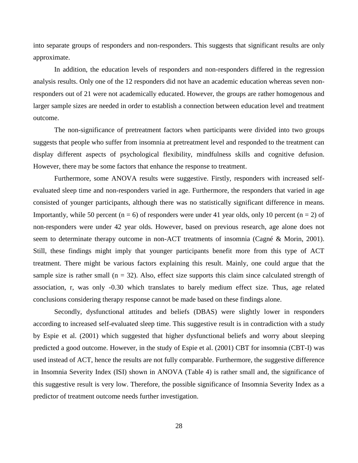into separate groups of responders and non-responders. This suggests that significant results are only approximate.

In addition, the education levels of responders and non-responders differed in the regression analysis results. Only one of the 12 responders did not have an academic education whereas seven nonresponders out of 21 were not academically educated. However, the groups are rather homogenous and larger sample sizes are needed in order to establish a connection between education level and treatment outcome.

The non-significance of pretreatment factors when participants were divided into two groups suggests that people who suffer from insomnia at pretreatment level and responded to the treatment can display different aspects of psychological flexibility, mindfulness skills and cognitive defusion. However, there may be some factors that enhance the response to treatment.

Furthermore, some ANOVA results were suggestive. Firstly, responders with increased selfevaluated sleep time and non-responders varied in age. Furthermore, the responders that varied in age consisted of younger participants, although there was no statistically significant difference in means. Importantly, while 50 percent ( $n = 6$ ) of responders were under 41 year olds, only 10 percent ( $n = 2$ ) of non-responders were under 42 year olds. However, based on previous research, age alone does not seem to determinate therapy outcome in non-ACT treatments of insomnia (Cagné & Morin, 2001). Still, these findings might imply that younger participants benefit more from this type of ACT treatment. There might be various factors explaining this result. Mainly, one could argue that the sample size is rather small ( $n = 32$ ). Also, effect size supports this claim since calculated strength of association, r, was only -0.30 which translates to barely medium effect size. Thus, age related conclusions considering therapy response cannot be made based on these findings alone.

Secondly, dysfunctional attitudes and beliefs (DBAS) were slightly lower in responders according to increased self-evaluated sleep time. This suggestive result is in contradiction with a study by Espie et al. (2001) which suggested that higher dysfunctional beliefs and worry about sleeping predicted a good outcome. However, in the study of Espie et al. (2001) CBT for insomnia (CBT-I) was used instead of ACT, hence the results are not fully comparable. Furthermore, the suggestive difference in Insomnia Severity Index (ISI) shown in ANOVA (Table 4) is rather small and, the significance of this suggestive result is very low. Therefore, the possible significance of Insomnia Severity Index as a predictor of treatment outcome needs further investigation.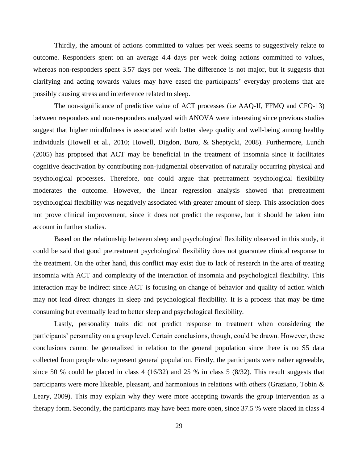Thirdly, the amount of actions committed to values per week seems to suggestively relate to outcome. Responders spent on an average 4.4 days per week doing actions committed to values, whereas non-responders spent 3.57 days per week. The difference is not major, but it suggests that clarifying and acting towards values may have eased the participants' everyday problems that are possibly causing stress and interference related to sleep.

The non-significance of predictive value of ACT processes (i.e AAQ-II, FFMQ and CFQ-13) between responders and non-responders analyzed with ANOVA were interesting since previous studies suggest that higher mindfulness is associated with better sleep quality and well-being among healthy individuals (Howell et al., 2010; Howell, Digdon, Buro, & Sheptycki, 2008). Furthermore, Lundh (2005) has proposed that ACT may be beneficial in the treatment of insomnia since it facilitates cognitive deactivation by contributing non-judgmental observation of naturally occurring physical and psychological processes. Therefore, one could argue that pretreatment psychological flexibility moderates the outcome. However, the linear regression analysis showed that pretreatment psychological flexibility was negatively associated with greater amount of sleep. This association does not prove clinical improvement, since it does not predict the response, but it should be taken into account in further studies.

Based on the relationship between sleep and psychological flexibility observed in this study, it could be said that good pretreatment psychological flexibility does not guarantee clinical response to the treatment. On the other hand, this conflict may exist due to lack of research in the area of treating insomnia with ACT and complexity of the interaction of insomnia and psychological flexibility. This interaction may be indirect since ACT is focusing on change of behavior and quality of action which may not lead direct changes in sleep and psychological flexibility. It is a process that may be time consuming but eventually lead to better sleep and psychological flexibility.

Lastly, personality traits did not predict response to treatment when considering the participants' personality on a group level. Certain conclusions, though, could be drawn. However, these conclusions cannot be generalized in relation to the general population since there is no S5 data collected from people who represent general population. Firstly, the participants were rather agreeable, since 50 % could be placed in class 4 (16/32) and 25 % in class 5 (8/32). This result suggests that participants were more likeable, pleasant, and harmonious in relations with others (Graziano, Tobin & Leary, 2009). This may explain why they were more accepting towards the group intervention as a therapy form. Secondly, the participants may have been more open, since 37.5 % were placed in class 4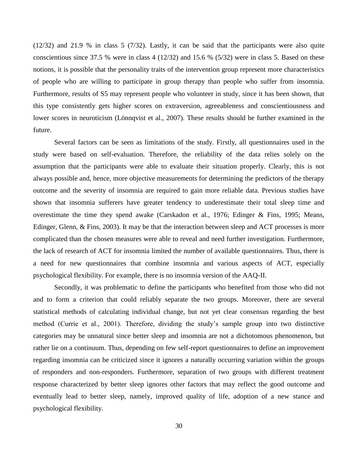(12/32) and 21.9 % in class 5 (7/32). Lastly, it can be said that the participants were also quite conscientious since 37.5 % were in class 4 (12/32) and 15.6 % (5/32) were in class 5. Based on these notions, it is possible that the personality traits of the intervention group represent more characteristics of people who are willing to participate in group therapy than people who suffer from insomnia. Furthermore, results of S5 may represent people who volunteer in study, since it has been shown, that this type consistently gets higher scores on extraversion, agreeableness and conscientiousness and lower scores in neuroticism (Lönnqvist et al., 2007). These results should be further examined in the future.

Several factors can be seen as limitations of the study. Firstly, all questionnaires used in the study were based on self-evaluation. Therefore, the reliability of the data relies solely on the assumption that the participants were able to evaluate their situation properly. Clearly, this is not always possible and, hence, more objective measurements for determining the predictors of the therapy outcome and the severity of insomnia are required to gain more reliable data. Previous studies have shown that insomnia sufferers have greater tendency to underestimate their total sleep time and overestimate the time they spend awake (Carskadon et al., 1976; Edinger & Fins, 1995; Means, Edinger, Glenn, & Fins, 2003). It may be that the interaction between sleep and ACT processes is more complicated than the chosen measures were able to reveal and need further investigation. Furthermore, the lack of research of ACT for insomnia limited the number of available questionnaires. Thus, there is a need for new questionnaires that combine insomnia and various aspects of ACT, especially psychological flexibility. For example, there is no insomnia version of the AAQ-II.

Secondly, it was problematic to define the participants who benefited from those who did not and to form a criterion that could reliably separate the two groups. Moreover, there are several statistical methods of calculating individual change, but not yet clear consensus regarding the best method (Currie et al., 2001). Therefore, dividing the study's sample group into two distinctive categories may be unnatural since better sleep and insomnia are not a dichotomous phenomenon, but rather lie on a continuum. Thus, depending on few self-report questionnaires to define an improvement regarding insomnia can be criticized since it ignores a naturally occurring variation within the groups of responders and non-responders. Furthermore, separation of two groups with different treatment response characterized by better sleep ignores other factors that may reflect the good outcome and eventually lead to better sleep, namely, improved quality of life, adoption of a new stance and psychological flexibility.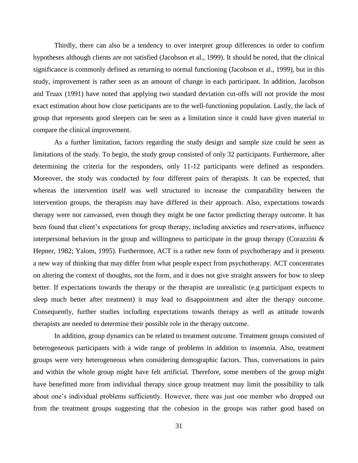Thirdly, there can also be a tendency to over interpret group differences in order to confirm hypotheses although clients are not satisfied (Jacobson et al., 1999). It should be noted, that the clinical significance is commonly defined as returning to normal functioning (Jacobson et al., 1999), but in this study, improvement is rather seen as an amount of change in each participant. In addition, Jacobson and Truax (1991) have noted that applying two standard deviation cut-offs will not provide the most exact estimation about how close participants are to the well-functioning population. Lastly, the lack of group that represents good sleepers can be seen as a limitation since it could have given material to compare the clinical improvement.

As a further limitation, factors regarding the study design and sample size could be seen as limitations of the study. To begin, the study group consisted of only 32 participants. Furthermore, after determining the criteria for the responders, only 11-12 participants were defined as responders. Moreover, the study was conducted by four different pairs of therapists. It can be expected, that whereas the intervention itself was well structured to increase the comparability between the intervention groups, the therapists may have differed in their approach. Also, expectations towards therapy were not canvassed, even though they might be one factor predicting therapy outcome. It has been found that client's expectations for group therapy, including anxieties and reservations, influence interpersonal behaviors in the group and willingness to participate in the group therapy (Corazzini  $\&$ Hepner, 1982; Yalom, 1995). Furthermore, ACT is a rather new form of psychotherapy and it presents a new way of thinking that may differ from what people expect from psychotherapy. ACT concentrates on altering the context of thoughts, not the form, and it does not give straight answers for how to sleep better. If expectations towards the therapy or the therapist are unrealistic (e.g participant expects to sleep much better after treatment) it may lead to disappointment and alter the therapy outcome. Consequently, further studies including expectations towards therapy as well as attitude towards therapists are needed to determine their possible role in the therapy outcome.

In addition, group dynamics can be related to treatment outcome. Treatment groups consisted of heterogeneous participants with a wide range of problems in addition to insomnia. Also, treatment groups were very heterogeneous when considering demographic factors. Thus, conversations in pairs and within the whole group might have felt artificial. Therefore, some members of the group might have benefitted more from individual therapy since group treatment may limit the possibility to talk about one's individual problems sufficiently. However, there was just one member who dropped out from the treatment groups suggesting that the cohesion in the groups was rather good based on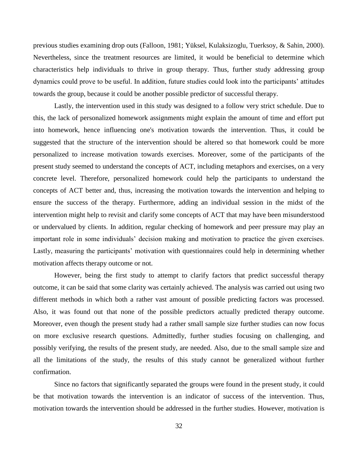previous studies examining drop outs (Falloon, 1981; Yüksel, Kulaksizoglu, Tuerksoy, & Sahin, 2000). Nevertheless, since the treatment resources are limited, it would be beneficial to determine which characteristics help individuals to thrive in group therapy. Thus, further study addressing group dynamics could prove to be useful. In addition, future studies could look into the participants' attitudes towards the group, because it could be another possible predictor of successful therapy.

Lastly, the intervention used in this study was designed to a follow very strict schedule. Due to this, the lack of personalized homework assignments might explain the amount of time and effort put into homework, hence influencing one's motivation towards the intervention. Thus, it could be suggested that the structure of the intervention should be altered so that homework could be more personalized to increase motivation towards exercises. Moreover, some of the participants of the present study seemed to understand the concepts of ACT, including metaphors and exercises, on a very concrete level. Therefore, personalized homework could help the participants to understand the concepts of ACT better and, thus, increasing the motivation towards the intervention and helping to ensure the success of the therapy. Furthermore, adding an individual session in the midst of the intervention might help to revisit and clarify some concepts of ACT that may have been misunderstood or undervalued by clients. In addition, regular checking of homework and peer pressure may play an important role in some individuals' decision making and motivation to practice the given exercises. Lastly, measuring the participants' motivation with questionnaires could help in determining whether motivation affects therapy outcome or not.

However, being the first study to attempt to clarify factors that predict successful therapy outcome, it can be said that some clarity was certainly achieved. The analysis was carried out using two different methods in which both a rather vast amount of possible predicting factors was processed. Also, it was found out that none of the possible predictors actually predicted therapy outcome. Moreover, even though the present study had a rather small sample size further studies can now focus on more exclusive research questions. Admittedly, further studies focusing on challenging, and possibly verifying, the results of the present study, are needed. Also, due to the small sample size and all the limitations of the study, the results of this study cannot be generalized without further confirmation.

Since no factors that significantly separated the groups were found in the present study, it could be that motivation towards the intervention is an indicator of success of the intervention. Thus, motivation towards the intervention should be addressed in the further studies. However, motivation is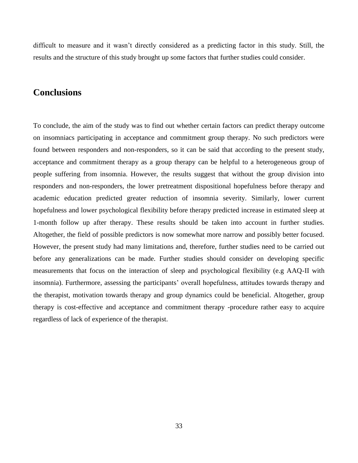difficult to measure and it wasn't directly considered as a predicting factor in this study. Still, the results and the structure of this study brought up some factors that further studies could consider.

## <span id="page-36-0"></span>**Conclusions**

<span id="page-36-1"></span>To conclude, the aim of the study was to find out whether certain factors can predict therapy outcome on insomniacs participating in acceptance and commitment group therapy. No such predictors were found between responders and non-responders, so it can be said that according to the present study, acceptance and commitment therapy as a group therapy can be helpful to a heterogeneous group of people suffering from insomnia. However, the results suggest that without the group division into responders and non-responders, the lower pretreatment dispositional hopefulness before therapy and academic education predicted greater reduction of insomnia severity. Similarly, lower current hopefulness and lower psychological flexibility before therapy predicted increase in estimated sleep at 1-month follow up after therapy. These results should be taken into account in further studies. Altogether, the field of possible predictors is now somewhat more narrow and possibly better focused. However, the present study had many limitations and, therefore, further studies need to be carried out before any generalizations can be made. Further studies should consider on developing specific measurements that focus on the interaction of sleep and psychological flexibility (e.g AAQ-II with insomnia). Furthermore, assessing the participants' overall hopefulness, attitudes towards therapy and the therapist, motivation towards therapy and group dynamics could be beneficial. Altogether, group therapy is cost-effective and acceptance and commitment therapy -procedure rather easy to acquire regardless of lack of experience of the therapist.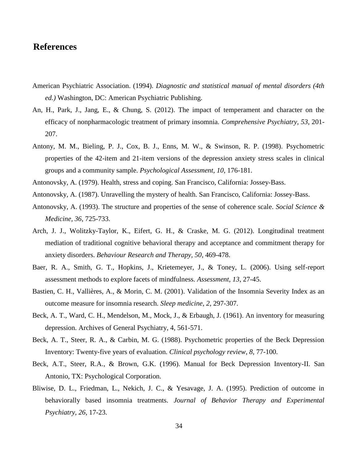## **References**

- American Psychiatric Association. (1994). *Diagnostic and statistical manual of mental disorders (4th ed.)* Washington, DC: American Psychiatric Publishing.
- An, H., Park, J., Jang, E., & Chung, S. (2012). The impact of temperament and character on the efficacy of nonpharmacologic treatment of primary insomnia. *Comprehensive Psychiatry, 53*, 201- 207.
- Antony, M. M., Bieling, P. J., Cox, B. J., Enns, M. W., & Swinson, R. P. (1998). Psychometric properties of the 42-item and 21-item versions of the depression anxiety stress scales in clinical groups and a community sample. *Psychological Assessment, 10*, 176-181.
- Antonovsky, A. (1979). Health, stress and coping. San Francisco, California: Jossey-Bass.
- Antonovsky, A. (1987). Unravelling the mystery of health. San Francisco, California: Jossey-Bass.
- Antonovsky, A. (1993). The structure and properties of the sense of coherence scale. *Social Science & Medicine, 36*, 725-733.
- Arch, J. J., Wolitzky-Taylor, K., Eifert, G. H., & Craske, M. G. (2012). Longitudinal treatment mediation of traditional cognitive behavioral therapy and acceptance and commitment therapy for anxiety disorders. *Behaviour Research and Therapy, 50*, 469-478.
- Baer, R. A., Smith, G. T., Hopkins, J., Krietemeyer, J., & Toney, L. (2006). Using self-report assessment methods to explore facets of mindfulness. *Assessment, 13*, 27-45.
- Bastien, C. H., Vallières, A., & Morin, C. M. (2001). Validation of the Insomnia Severity Index as an outcome measure for insomnia research. *Sleep medicine*, *2*, 297-307.
- Beck, A. T., Ward, C. H., Mendelson, M., Mock, J., & Erbaugh, J. (1961). An inventory for measuring depression. Archives of General Psychiatry, 4, 561-571.
- Beck, A. T., Steer, R. A., & Carbin, M. G. (1988). Psychometric properties of the Beck Depression Inventory: Twenty-five years of evaluation. *Clinical psychology review*, *8*, 77-100.
- Beck, A.T., Steer, R.A., & Brown, G.K. (1996). Manual for Beck Depression Inventory-II. San Antonio, TX: Psychological Corporation.
- Bliwise, D. L., Friedman, L., Nekich, J. C., & Yesavage, J. A. (1995). Prediction of outcome in behaviorally based insomnia treatments. *Journal of Behavior Therapy and Experimental Psychiatry, 26*, 17-23.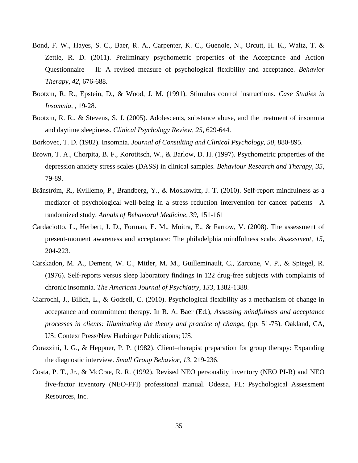- Bond, F. W., Hayes, S. C., Baer, R. A., Carpenter, K. C., Guenole, N., Orcutt, H. K., Waltz, T. & Zettle, R. D. (2011). Preliminary psychometric properties of the Acceptance and Action Questionnaire – II: A revised measure of psychological flexibility and acceptance. *Behavior Therapy*, *42*, 676-688.
- Bootzin, R. R., Epstein, D., & Wood, J. M. (1991). Stimulus control instructions. *Case Studies in Insomnia,* , 19-28.
- Bootzin, R. R., & Stevens, S. J. (2005). Adolescents, substance abuse, and the treatment of insomnia and daytime sleepiness. *Clinical Psychology Review, 25*, 629-644.
- Borkovec, T. D. (1982). Insomnia. *Journal of Consulting and Clinical Psychology, 50,* 880-895.
- Brown, T. A., Chorpita, B. F., Korotitsch, W., & Barlow, D. H. (1997). Psychometric properties of the depression anxiety stress scales (DASS) in clinical samples. *Behaviour Research and Therapy, 35*, 79-89.
- Bränström, R., Kvillemo, P., Brandberg, Y., & Moskowitz, J. T. (2010). Self-report mindfulness as a mediator of psychological well-being in a stress reduction intervention for cancer patients—A randomized study. *Annals of Behavioral Medicine, 39*, 151-161
- Cardaciotto, L., Herbert, J. D., Forman, E. M., Moitra, E., & Farrow, V. (2008). The assessment of present-moment awareness and acceptance: The philadelphia mindfulness scale. *Assessment, 15*, 204-223.
- Carskadon, M. A., Dement, W. C., Mitler, M. M., Guilleminault, C., Zarcone, V. P., & Spiegel, R. (1976). Self-reports versus sleep laboratory findings in 122 drug-free subjects with complaints of chronic insomnia. *The American Journal of Psychiatry, 133*, 1382-1388.
- Ciarrochi, J., Bilich, L., & Godsell, C. (2010). Psychological flexibility as a mechanism of change in acceptance and commitment therapy. In R. A. Baer (Ed.), *Assessing mindfulness and acceptance processes in clients: Illuminating the theory and practice of change,* (pp. 51-75). Oakland, CA, US: Context Press/New Harbinger Publications; US.
- Corazzini, J. G., & Heppner, P. P. (1982). Client–therapist preparation for group therapy: Expanding the diagnostic interview. *Small Group Behavior, 13*, 219-236.
- Costa, P. T., Jr., & McCrae, R. R. (1992). Revised NEO personality inventory (NEO PI-R) and NEO five-factor inventory (NEO-FFI) professional manual. Odessa, FL: Psychological Assessment Resources, Inc.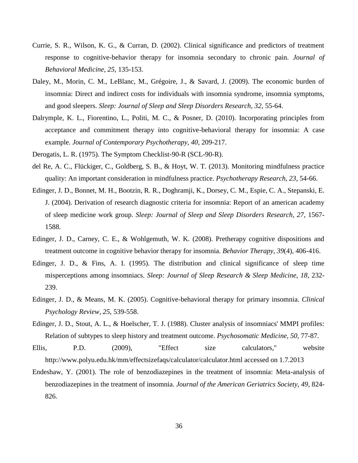- Currie, S. R., Wilson, K. G., & Curran, D. (2002). Clinical significance and predictors of treatment response to cognitive-behavior therapy for insomnia secondary to chronic pain. *Journal of Behavioral Medicine, 25*, 135-153.
- Daley, M., Morin, C. M., LeBlanc, M., Grégoire, J., & Savard, J. (2009). The economic burden of insomnia: Direct and indirect costs for individuals with insomnia syndrome, insomnia symptoms, and good sleepers. *Sleep: Journal of Sleep and Sleep Disorders Research, 32*, 55-64.
- Dalrymple, K. L., Fiorentino, L., Politi, M. C., & Posner, D. (2010). Incorporating principles from acceptance and commitment therapy into cognitive-behavioral therapy for insomnia: A case example. *Journal of Contemporary Psychotherapy, 40*, 209-217.
- Derogatis, L. R. (1975). The Symptom Checklist-90-R (SCL-90-R).
- del Re, A. C., Flückiger, C., Goldberg, S. B., & Hoyt, W. T. (2013). Monitoring mindfulness practice quality: An important consideration in mindfulness practice. *Psychotherapy Research, 23*, 54-66.
- Edinger, J. D., Bonnet, M. H., Bootzin, R. R., Doghramji, K., Dorsey, C. M., Espie, C. A., Stepanski, E. J. (2004). Derivation of research diagnostic criteria for insomnia: Report of an american academy of sleep medicine work group. *Sleep: Journal of Sleep and Sleep Disorders Research, 27*, 1567- 1588.
- Edinger, J. D., Carney, C. E., & Wohlgemuth, W. K. (2008). Pretherapy cognitive dispositions and treatment outcome in cognitive behavior therapy for insomnia. *Behavior Therapy, 39*(4), 406-416.
- Edinger, J. D., & Fins, A. I. (1995). The distribution and clinical significance of sleep time misperceptions among insomniacs. *Sleep: Journal of Sleep Research & Sleep Medicine, 18*, 232- 239.
- Edinger, J. D., & Means, M. K. (2005). Cognitive-behavioral therapy for primary insomnia. *Clinical Psychology Review, 25*, 539-558.
- Edinger, J. D., Stout, A. L., & Hoelscher, T. J. (1988). Cluster analysis of insomniacs' MMPI profiles: Relation of subtypes to sleep history and treatment outcome. *Psychosomatic Medicine, 50*, 77-87.
- Ellis, P.D. (2009), "Effect size calculators," website http://www.polyu.edu.hk/mm/effectsizefaqs/calculator/calculator.html accessed on 1.7.2013
- Endeshaw, Y. (2001). The role of benzodiazepines in the treatment of insomnia: Meta-analysis of benzodiazepines in the treatment of insomnia. *Journal of the American Geriatrics Society, 49*, 824- 826.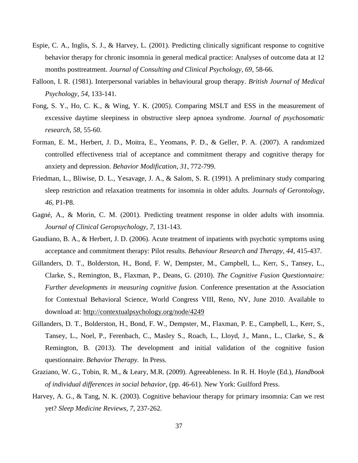- Espie, C. A., Inglis, S. J., & Harvey, L. (2001). Predicting clinically significant response to cognitive behavior therapy for chronic insomnia in general medical practice: Analyses of outcome data at 12 months posttreatment. *Journal of Consulting and Clinical Psychology, 69*, 58-66.
- Falloon, I. R. (1981). Interpersonal variables in behavioural group therapy. *British Journal of Medical Psychology, 54*, 133-141.
- Fong, S. Y., Ho, C. K., & Wing, Y. K. (2005). Comparing MSLT and ESS in the measurement of excessive daytime sleepiness in obstructive sleep apnoea syndrome. *Journal of psychosomatic research*, *58*, 55-60.
- Forman, E. M., Herbert, J. D., Moitra, E., Yeomans, P. D., & Geller, P. A. (2007). A randomized controlled effectiveness trial of acceptance and commitment therapy and cognitive therapy for anxiety and depression. *Behavior Modification, 31*, 772-799.
- Friedman, L., Bliwise, D. L., Yesavage, J. A., & Salom, S. R. (1991). A preliminary study comparing sleep restriction and relaxation treatments for insomnia in older adults. *Journals of Gerontology, 46*, P1-P8.
- Gagné, A., & Morin, C. M. (2001). Predicting treatment response in older adults with insomnia. *Journal of Clinical Geropsychology, 7*, 131-143.
- Gaudiano, B. A., & Herbert, J. D. (2006). Acute treatment of inpatients with psychotic symptoms using acceptance and commitment therapy: Pilot results. *Behaviour Research and Therapy, 44*, 415-437.
- Gillanders, D. T., Bolderston, H., Bond, F. W, Dempster, M., Campbell, L., Kerr, S., Tansey, L., Clarke, S., Remington, B., Flaxman, P., Deans, G. (2010). *The Cognitive Fusion Questionnaire: Further developments in measuring cognitive fusion.* Conference presentation at the Association for Contextual Behavioral Science, World Congress VIII, Reno, NV, June 2010. Available to download at:<http://contextualpsychology.org/node/4249>
- Gillanders, D. T., Bolderston, H., Bond, F. W., Dempster, M., Flaxman, P. E., Campbell, L., Kerr, S., Tansey, L., Noel, P., Ferenbach, C., Masley S., Roach, L., Lloyd, J., Mann., L., Clarke, S., & Remington, B. (2013). The development and initial validation of the cognitive fusion questionnaire. *Behavior Therapy.* In Press.
- Graziano, W. G., Tobin, R. M., & Leary, M.R. (2009). Agreeableness. In R. H. Hoyle (Ed.), *Handbook of individual differences in social behavior*, (pp. 46-61). New York: Guilford Press.
- Harvey, A. G., & Tang, N. K. (2003). Cognitive behaviour therapy for primary insomnia: Can we rest yet? *Sleep Medicine Reviews, 7*, 237-262.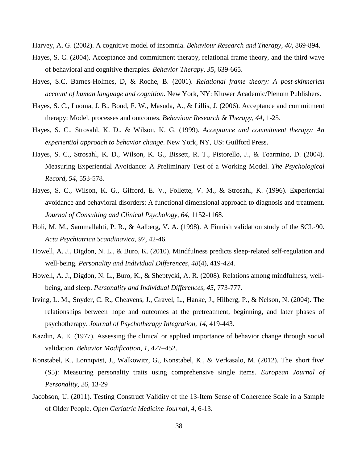Harvey, A. G. (2002). A cognitive model of insomnia. *Behaviour Research and Therapy, 40*, 869-894.

- Hayes, S. C. (2004). Acceptance and commitment therapy, relational frame theory, and the third wave of behavioral and cognitive therapies. *Behavior Therapy, 35*, 639-665.
- Hayes, S.C, Barnes-Holmes, D, & Roche, B. (2001). *Relational frame theory: A post-skinnerian account of human language and cognition*. New York, NY: Kluwer Academic/Plenum Publishers.
- Hayes, S. C., Luoma, J. B., Bond, F. W., Masuda, A., & Lillis, J. (2006). Acceptance and commitment therapy: Model, processes and outcomes. *Behaviour Research & Therapy, 44*, 1-25.
- Hayes, S. C., Strosahl, K. D., & Wilson, K. G. (1999). *Acceptance and commitment therapy: An experiential approach to behavior change*. New York, NY, US: Guilford Press.
- Hayes, S. C., Strosahl, K. D., Wilson, K. G., Bissett, R. T., Pistorello, J., & Toarmino, D. (2004). Measuring Experiential Avoidance: A Preliminary Test of a Working Model. *The Psychological Record, 54*, 553-578.
- Hayes, S. C., Wilson, K. G., Gifford, E. V., Follette, V. M., & Strosahl, K. (1996). Experiential avoidance and behavioral disorders: A functional dimensional approach to diagnosis and treatment. *Journal of Consulting and Clinical Psychology, 64*, 1152-1168.
- Holi, M. M., Sammallahti, P. R., & Aalberg, V. A. (1998). A Finnish validation study of the SCL-90. *Acta Psychiatrica Scandinavica*, *97*, 42-46.
- Howell, A. J., Digdon, N. L., & Buro, K. (2010). Mindfulness predicts sleep-related self-regulation and well-being. *Personality and Individual Differences, 48*(4), 419-424.
- Howell, A. J., Digdon, N. L., Buro, K., & Sheptycki, A. R. (2008). Relations among mindfulness, wellbeing, and sleep. *Personality and Individual Differences, 45*, 773-777.
- Irving, L. M., Snyder, C. R., Cheavens, J., Gravel, L., Hanke, J., Hilberg, P., & Nelson, N. (2004). The relationships between hope and outcomes at the pretreatment, beginning, and later phases of psychotherapy. *Journal of Psychotherapy Integration, 14*, 419-443.
- Kazdin, A. E. (1977). Assessing the clinical or applied importance of behavior change through social validation. *Behavior Modification*, *1*, 427–452.
- Konstabel, K., Lonnqvist, J., Walkowitz, G., Konstabel, K., & Verkasalo, M. (2012). The 'short five' (S5): Measuring personality traits using comprehensive single items. *European Journal of Personality, 26*, 13-29
- Jacobson, U. (2011). Testing Construct Validity of the 13-Item Sense of Coherence Scale in a Sample of Older People. *Open Geriatric Medicine Journal*, *4*, 6-13.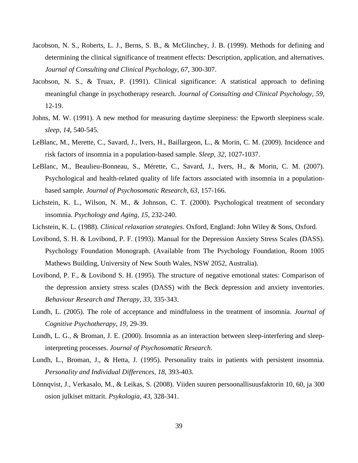- Jacobson, N. S., Roberts, L. J., Berns, S. B., & McGlinchey, J. B. (1999). Methods for defining and determining the clinical significance of treatment effects: Description, application, and alternatives. *Journal of Consulting and Clinical Psychology, 67*, 300-307.
- Jacobson, N. S., & Truax, P. (1991). Clinical significance: A statistical approach to defining meaningful change in psychotherapy research. *Journal of Consulting and Clinical Psychology, 59*, 12-19.
- Johns, M. W. (1991). A new method for measuring daytime sleepiness: the Epworth sleepiness scale. *sleep*, *14*, 540-545.
- LeBlanc, M., Merette, C., Savard, J., Ivers, H., Baillargeon, L., & Morin, C. M. (2009). Incidence and risk factors of insomnia in a population-based sample. *Sleep, 32*, 1027-1037.
- LeBlanc, M., Beaulieu-Bonneau, S., Mérette, C., Savard, J., Ivers, H., & Morin, C. M. (2007). Psychological and health-related quality of life factors associated with insomnia in a populationbased sample. *Journal of Psychosomatic Research, 63*, 157-166.
- Lichstein, K. L., Wilson, N. M., & Johnson, C. T. (2000). Psychological treatment of secondary insomnia. *Psychology and Aging, 15*, 232-240.
- Lichstein, K. L. (1988). *Clinical relaxation strategies*. Oxford, England: John Wiley & Sons, Oxford.
- Lovibond, S. H. & Lovibond, P. F. (1993). Manual for the Depression Anxiety Stress Scales (DASS). Psychology Foundation Monograph. (Available from The Psychology Foundation, Room 1005 Mathews Building, University of New South Wales, NSW 2052, Australia).
- Lovibond, P. F., & Lovibond S. H. (1995). The structure of negative emotional states: Comparison of the depression anxiety stress scales (DASS) with the Beck depression and anxiety inventories. *Behaviour Research and Therapy, 33*, 335-343.
- Lundh, L. (2005). The role of acceptance and mindfulness in the treatment of insomnia. *Journal of Cognitive Psychotherapy, 19*, 29-39.
- Lundh, L. G., & Broman, J. E. (2000). Insomnia as an interaction between sleep-interfering and sleepinterpreting processes. *Journal of Psychosomatic Research*.
- Lundh, L., Broman, J., & Hetta, J. (1995). Personality traits in patients with persistent insomnia. *Personality and Individual Differences, 18*, 393-403.
- Lönnqvist, J., Verkasalo, M., & Leikas, S. (2008). Viiden suuren persoonallisuusfaktorin 10, 60, ja 300 osion julkiset mittarit. *Psykologia, 43*, 328-341.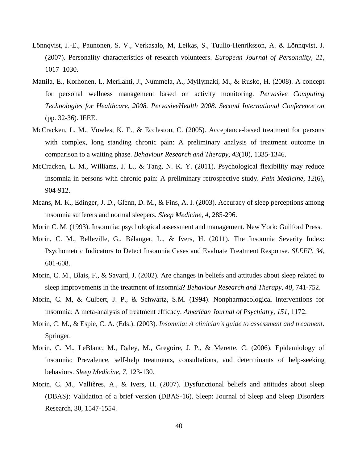- Lönnqvist, J.-E., Paunonen, S. V., Verkasalo, M, Leikas, S., Tuulio-Henriksson, A. & Lönnqvist, J. (2007). Personality characteristics of research volunteers. *European Journal of Personality, 21,* 1017–1030.
- Mattila, E., Korhonen, I., Merilahti, J., Nummela, A., Myllymaki, M., & Rusko, H. (2008). A concept for personal wellness management based on activity monitoring. *Pervasive Computing Technologies for Healthcare, 2008. PervasiveHealth 2008. Second International Conference on* (pp. 32-36). IEEE.
- McCracken, L. M., Vowles, K. E., & Eccleston, C. (2005). Acceptance-based treatment for persons with complex, long standing chronic pain: A preliminary analysis of treatment outcome in comparison to a waiting phase. *Behaviour Research and Therapy, 43*(10), 1335-1346.
- McCracken, L. M., Williams, J. L., & Tang, N. K. Y. (2011). Psychological flexibility may reduce insomnia in persons with chronic pain: A preliminary retrospective study. *Pain Medicine, 12*(6), 904-912.
- Means, M. K., Edinger, J. D., Glenn, D. M., & Fins, A. I. (2003). Accuracy of sleep perceptions among insomnia sufferers and normal sleepers. *Sleep Medicine, 4*, 285-296.
- Morin C. M. (1993). Insomnia: psychological assessment and management. New York: Guilford Press.
- Morin, C. M., Belleville, G., Bélanger, L., & Ivers, H. (2011). The Insomnia Severity Index: Psychometric Indicators to Detect Insomnia Cases and Evaluate Treatment Response. *SLEEP, 34*, 601-608.
- Morin, C. M., Blais, F., & Savard, J. (2002). Are changes in beliefs and attitudes about sleep related to sleep improvements in the treatment of insomnia? *Behaviour Research and Therapy, 40*, 741-752.
- Morin, C. M, & Culbert, J. P., & Schwartz, S.M. (1994). Nonpharmacological interventions for insomnia: A meta-analysis of treatment efficacy. *American Journal of Psychiatry, 151,* 1172.
- Morin, C. M., & Espie, C. A. (Eds.). (2003). *Insomnia: A clinician's guide to assessment and treatment*. Springer.
- Morin, C. M., LeBlanc, M., Daley, M., Gregoire, J. P., & Merette, C. (2006). Epidemiology of insomnia: Prevalence, self-help treatments, consultations, and determinants of help-seeking behaviors. *Sleep Medicine, 7*, 123-130.
- Morin, C. M., Vallières, A., & Ivers, H. (2007). Dysfunctional beliefs and attitudes about sleep (DBAS): Validation of a brief version (DBAS-16). Sleep: Journal of Sleep and Sleep Disorders Research, 30, 1547-1554.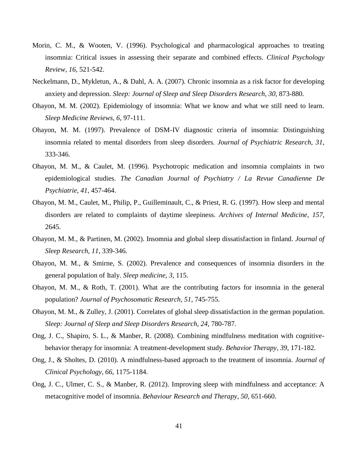- Morin, C. M., & Wooten, V. (1996). Psychological and pharmacological approaches to treating insomnia: Critical issues in assessing their separate and combined effects. *Clinical Psychology Review, 16*, 521-542.
- Neckelmann, D., Mykletun, A., & Dahl, A. A. (2007). Chronic insomnia as a risk factor for developing anxiety and depression. *Sleep: Journal of Sleep and Sleep Disorders Research, 30*, 873-880.
- Ohayon, M. M. (2002). Epidemiology of insomnia: What we know and what we still need to learn. *Sleep Medicine Reviews, 6*, 97-111.
- Ohayon, M. M. (1997). Prevalence of DSM-IV diagnostic criteria of insomnia: Distinguishing insomnia related to mental disorders from sleep disorders. *Journal of Psychiatric Research, 31*, 333-346.
- Ohayon, M. M., & Caulet, M. (1996). Psychotropic medication and insomnia complaints in two epidemiological studies. *The Canadian Journal of Psychiatry / La Revue Canadienne De Psychiatrie, 41*, 457-464.
- Ohayon, M. M., Caulet, M., Philip, P., Guilleminault, C., & Priest, R. G. (1997). How sleep and mental disorders are related to complaints of daytime sleepiness. *Archives of Internal Medicine*, *157*, 2645.
- Ohayon, M. M., & Partinen, M. (2002). Insomnia and global sleep dissatisfaction in finland. *Journal of Sleep Research, 11*, 339-346.
- Ohayon, M. M., & Smirne, S. (2002). Prevalence and consequences of insomnia disorders in the general population of Italy. *Sleep medicine*, *3*, 115.
- Ohayon, M. M., & Roth, T. (2001). What are the contributing factors for insomnia in the general population? *Journal of Psychosomatic Research, 51*, 745-755.
- Ohayon, M. M., & Zulley, J. (2001). Correlates of global sleep dissatisfaction in the german population. *Sleep: Journal of Sleep and Sleep Disorders Research, 24*, 780-787.
- Ong, J. C., Shapiro, S. L., & Manber, R. (2008). Combining mindfulness meditation with cognitivebehavior therapy for insomnia: A treatment-development study. *Behavior Therapy, 39*, 171-182.
- Ong, J., & Sholtes, D. (2010). A mindfulness-based approach to the treatment of insomnia. *Journal of Clinical Psychology, 66*, 1175-1184.
- Ong, J. C., Ulmer, C. S., & Manber, R. (2012). Improving sleep with mindfulness and acceptance: A metacognitive model of insomnia. *Behaviour Research and Therapy, 50*, 651-660.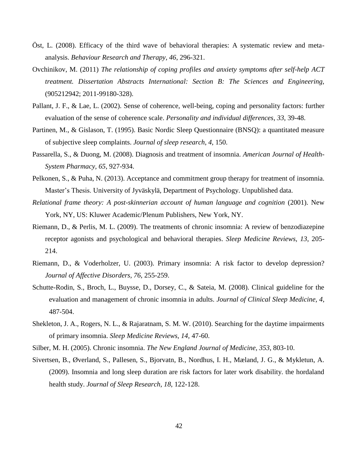- Öst, L. (2008). Efficacy of the third wave of behavioral therapies: A systematic review and metaanalysis. *Behaviour Research and Therapy, 46*, 296-321.
- Ovchinikov, M. (2011) *The relationship of coping profiles and anxiety symptoms after self-help ACT treatment. Dissertation Abstracts International: Section B: The Sciences and Engineering,*  (905212942; 2011-99180-328).
- Pallant, J. F., & Lae, L. (2002). Sense of coherence, well-being, coping and personality factors: further evaluation of the sense of coherence scale. *Personality and individual differences*, *33*, 39-48.
- Partinen, M., & Gislason, T. (1995). Basic Nordic Sleep Questionnaire (BNSQ): a quantitated measure of subjective sleep complaints. *Journal of sleep research*, *4*, 150.
- Passarella, S., & Duong, M. (2008). Diagnosis and treatment of insomnia. *American Journal of Health-System Pharmacy, 65*, 927-934.
- Pelkonen, S., & Puha, N. (2013). Acceptance and commitment group therapy for treatment of insomnia. Master's Thesis. University of Jyväskylä, Department of Psychology. Unpublished data.
- *Relational frame theory: A post-skinnerian account of human language and cognition* (2001). New York, NY, US: Kluwer Academic/Plenum Publishers, New York, NY.
- Riemann, D., & Perlis, M. L. (2009). The treatments of chronic insomnia: A review of benzodiazepine receptor agonists and psychological and behavioral therapies. *Sleep Medicine Reviews, 13*, 205- 214.
- Riemann, D., & Voderholzer, U. (2003). Primary insomnia: A risk factor to develop depression? *Journal of Affective Disorders, 76*, 255-259.
- Schutte-Rodin, S., Broch, L., Buysse, D., Dorsey, C., & Sateia, M. (2008). Clinical guideline for the evaluation and management of chronic insomnia in adults. *Journal of Clinical Sleep Medicine, 4*, 487-504.
- Shekleton, J. A., Rogers, N. L., & Rajaratnam, S. M. W. (2010). Searching for the daytime impairments of primary insomnia. *Sleep Medicine Reviews, 14*, 47-60.
- Silber, M. H. (2005). Chronic insomnia. *The New England Journal of Medicine, 353*, 803-10.
- Sivertsen, B., Øverland, S., Pallesen, S., Bjorvatn, B., Nordhus, I. H., Mæland, J. G., & Mykletun, A. (2009). Insomnia and long sleep duration are risk factors for later work disability. the hordaland health study. *Journal of Sleep Research, 18*, 122-128.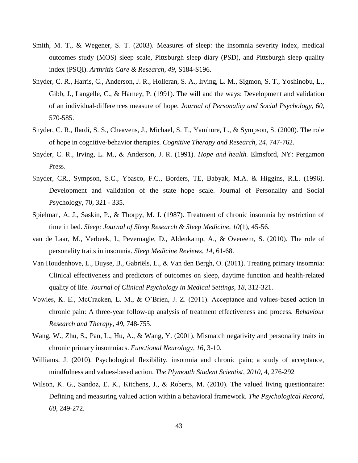- Smith, M. T., & Wegener, S. T. (2003). Measures of sleep: the insomnia severity index, medical outcomes study (MOS) sleep scale, Pittsburgh sleep diary (PSD), and Pittsburgh sleep quality index (PSQI). *Arthritis Care & Research*, *49*, S184-S196.
- Snyder, C. R., Harris, C., Anderson, J. R., Holleran, S. A., Irving, L. M., Sigmon, S. T., Yoshinobu, L., Gibb, J., Langelle, C., & Harney, P. (1991). The will and the ways: Development and validation of an individual-differences measure of hope. *Journal of Personality and Social Psychology, 60*, 570-585.
- Snyder, C. R., Ilardi, S. S., Cheavens, J., Michael, S. T., Yamhure, L., & Sympson, S. (2000). The role of hope in cognitive-behavior therapies. *Cognitive Therapy and Research, 24*, 747-762.
- Snyder, C. R., Irving, L. M., & Anderson, J. R. (1991). *Hope and health.* Elmsford, NY: Pergamon Press.
- Snyder, CR., Sympson, S.C., Ybasco, F.C., Borders, TE, Babyak, M.A. & Higgins, R.L. (1996). Development and validation of the state hope scale. Journal of Personality and Social Psychology, 70, 321 - 335.
- Spielman, A. J., Saskin, P., & Thorpy, M. J. (1987). Treatment of chronic insomnia by restriction of time in bed. *Sleep: Journal of Sleep Research & Sleep Medicine, 10*(1), 45-56.
- van de Laar, M., Verbeek, I., Pevernagie, D., Aldenkamp, A., & Overeem, S. (2010). The role of personality traits in insomnia. *Sleep Medicine Reviews, 14*, 61-68.
- Van Houdenhove, L., Buyse, B., Gabriëls, L., & Van den Bergh, O. (2011). Treating primary insomnia: Clinical effectiveness and predictors of outcomes on sleep, daytime function and health-related quality of life. *Journal of Clinical Psychology in Medical Settings, 18*, 312-321.
- Vowles, K. E., McCracken, L. M., & O'Brien, J. Z. (2011). Acceptance and values-based action in chronic pain: A three-year follow-up analysis of treatment effectiveness and process. *Behaviour Research and Therapy, 49*, 748-755.
- Wang, W., Zhu, S., Pan, L., Hu, A., & Wang, Y. (2001). Mismatch negativity and personality traits in chronic primary insomniacs. *Functional Neurology, 16*, 3-10.
- Williams, J. (2010). Psychological flexibility, insomnia and chronic pain; a study of acceptance, mindfulness and values-based action. *The Plymouth Student Scientist*, *2010*, 4, 276-292
- Wilson, K. G., Sandoz, E. K., Kitchens, J., & Roberts, M. (2010). The valued living questionnaire: Defining and measuring valued action within a behavioral framework. *The Psychological Record, 60*, 249-272.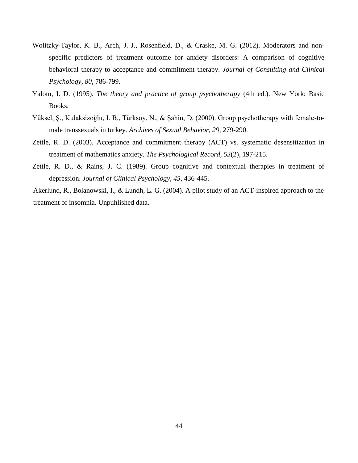- Wolitzky-Taylor, K. B., Arch, J. J., Rosenfield, D., & Craske, M. G. (2012). Moderators and nonspecific predictors of treatment outcome for anxiety disorders: A comparison of cognitive behavioral therapy to acceptance and commitment therapy. *Journal of Consulting and Clinical Psychology, 80*, 786-799.
- Yalom, I. D. (1995). *The theory and practice of group psychotherapy* (4th ed.). New York: Basic Books.
- Yüksel, Ş., Kulaksizoğlu, I. B., Türksoy, N., & Şahin, D. (2000). Group psychotherapy with female-tomale transsexuals in turkey. *Archives of Sexual Behavior, 29*, 279-290.
- Zettle, R. D. (2003). Acceptance and commitment therapy (ACT) vs. systematic desensitization in treatment of mathematics anxiety. *The Psychological Record, 53*(2), 197-215.
- Zettle, R. D., & Rains, J. C. (1989). Group cognitive and contextual therapies in treatment of depression. *Journal of Clinical Psychology, 45*, 436-445.
- Åkerlund, R., Bolanowski, I., & Lundh, L. G. (2004). A pilot study of an ACT-inspired approach to the treatment of insomnia. Unpuhlished data.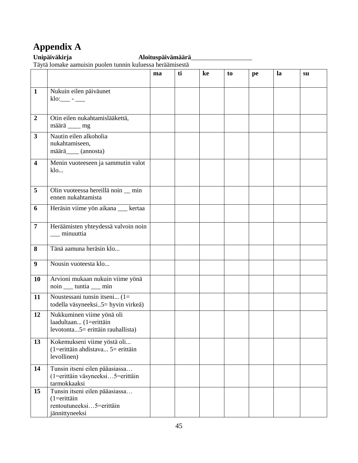# <span id="page-48-0"></span>**Appendix A**

#### **Unipäiväkirja Aloituspäivämäärä**\_\_\_\_\_\_\_\_\_\_\_\_\_\_\_\_\_\_\_

Täytä lomake aamuisin puolen tunnin kuluessa heräämisestä

|                         |                                                                                                  | ma | ti | ke | to | pe | la | su |
|-------------------------|--------------------------------------------------------------------------------------------------|----|----|----|----|----|----|----|
|                         |                                                                                                  |    |    |    |    |    |    |    |
| $\mathbf{1}$            | Nukuin eilen päiväunet<br>$klo:$ $  -$                                                           |    |    |    |    |    |    |    |
| $\boldsymbol{2}$        | Otin eilen nukahtamislääkettä,<br>määrä ____ mg                                                  |    |    |    |    |    |    |    |
| $\overline{\mathbf{3}}$ | Nautin eilen alkoholia<br>nukahtamiseen,<br>määrä____(annosta)                                   |    |    |    |    |    |    |    |
| $\overline{\mathbf{4}}$ | Menin vuoteeseen ja sammutin valot<br>$k$ lo                                                     |    |    |    |    |    |    |    |
| 5                       | Olin vuoteessa hereillä noin _ min<br>ennen nukahtamista                                         |    |    |    |    |    |    |    |
| 6                       | Heräsin viime yön aikana __ kertaa                                                               |    |    |    |    |    |    |    |
| $\overline{7}$          | Heräämisten yhteydessä valvoin noin<br>minuuttia                                                 |    |    |    |    |    |    |    |
| 8                       | Tänä aamuna heräsin klo                                                                          |    |    |    |    |    |    |    |
| 9                       | Nousin vuoteesta klo                                                                             |    |    |    |    |    |    |    |
| 10                      | Arvioni mukaan nukuin viime yönä<br>noin ____ tuntia ____ min                                    |    |    |    |    |    |    |    |
| 11                      | Noustessani tunsin itseni $(1=$<br>todella väsyneeksi5 = hyvin virkeä)                           |    |    |    |    |    |    |    |
| 12                      | Nukkuminen viime yönä oli<br>laadultaan (1=erittäin<br>levotonta5= erittäin rauhallista)         |    |    |    |    |    |    |    |
| 13                      | Kokemukseni viime yöstä oli<br>$(1 = 1)$ erittäin ahdistava 5 = erittäin<br>levollinen)          |    |    |    |    |    |    |    |
| 14                      | Tunsin itseni eilen pääasiassa<br>(1=erittäin väsyneeksi5=erittäin<br>tarmokkaaksi               |    |    |    |    |    |    |    |
| 15                      | Tunsin itseni eilen pääasiassa<br>$(1 = $ erittäin<br>rentoutuneeksi5=erittäin<br>jännittyneeksi |    |    |    |    |    |    |    |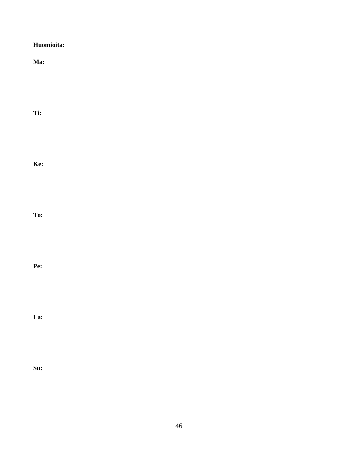| Huomioita: |  |
|------------|--|
| Ma:        |  |
|            |  |
|            |  |
| Ti:        |  |
|            |  |
| Ke:        |  |
|            |  |
| To:        |  |
|            |  |
|            |  |
| Pe:        |  |
|            |  |
| La:        |  |
|            |  |
|            |  |
| Su:        |  |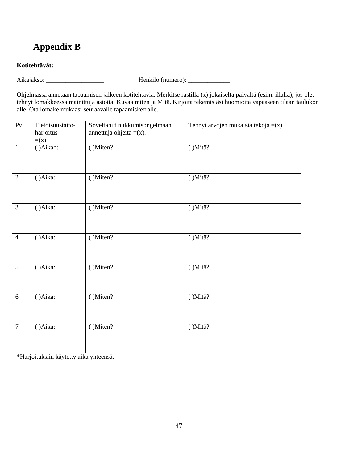# <span id="page-50-0"></span>**Appendix B**

#### **Kotitehtävät:**

Aikajakso: \_\_\_\_\_\_\_\_\_\_\_\_\_\_\_\_\_\_ Henkilö (numero): \_\_\_\_\_\_\_\_\_\_\_\_\_

Ohjelmassa annetaan tapaamisen jälkeen kotitehtäviä. Merkitse rastilla (x) jokaiselta päivältä (esim. illalla), jos olet tehnyt lomakkeessa mainittuja asioita. Kuvaa miten ja Mitä. Kirjoita tekemisiäsi huomioita vapaaseen tilaan taulukon alle. Ota lomake mukaasi seuraavalle tapaamiskerralle.

| $\overline{Pv}$ | Tietoisuustaito-<br>harjoitus<br>$=(x)$ | Soveltanut nukkumisongelmaan<br>annettuja ohjeita $=(x)$ . | Tehnyt arvojen mukaisia tekoja $=(x)$ |
|-----------------|-----------------------------------------|------------------------------------------------------------|---------------------------------------|
| $\mathbf{1}$    | $(Aika^*):$                             | $( )$ Miten?                                               | ()Mitä?                               |
| $\overline{2}$  | (Aika)                                  | (Miten?                                                    | ()Mitä?                               |
| $\overline{3}$  | ()Aika:                                 | ()Miten?                                                   | ()Mitä?                               |
| $\overline{4}$  | ()Aika:                                 | (Miten?                                                    | ()Mitä?                               |
| $\overline{5}$  | ()Aika:                                 | ()Miten?                                                   | ()Mitä?                               |
| 6               | ()Aika:                                 | ()Miten?                                                   | ()Mitä?                               |
| $\overline{7}$  | ()Aika:                                 | $( )$ Miten?                                               | ()Mitä?                               |

\*Harjoituksiin käytetty aika yhteensä.